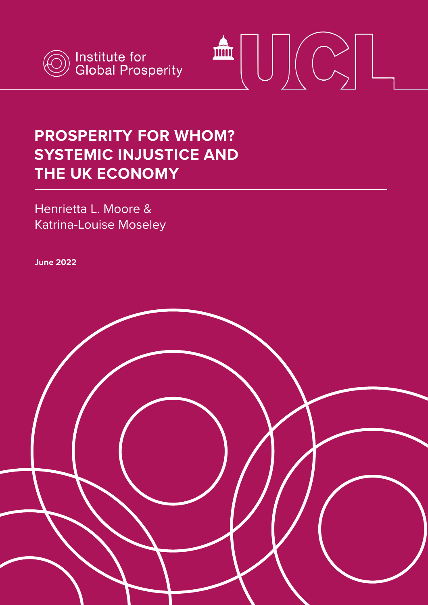



#### **PROSPERITY FOR WHOM? SYSTEMIC INJUSTICE AND THE UK ECONOMY**

Henrietta L. Moore & Katrina-Louise Moseley

**June 2022**

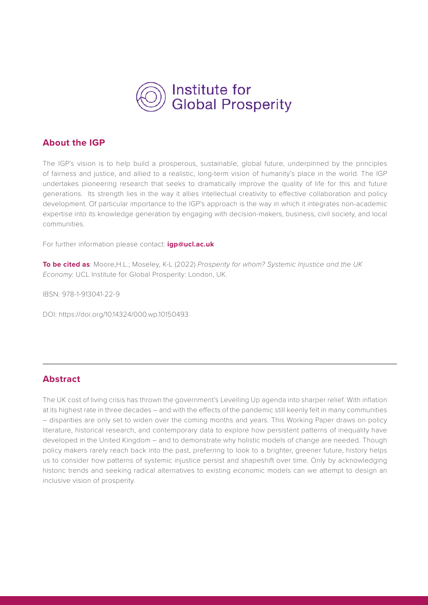

#### **About the IGP**

The IGP's vision is to help build a prosperous, sustainable, global future, underpinned by the principles of fairness and justice, and allied to a realistic, long-term vision of humanity's place in the world. The IGP undertakes pioneering research that seeks to dramatically improve the quality of life for this and future generations. Its strength lies in the way it allies intellectual creativity to effective collaboration and policy development. Of particular importance to the IGP's approach is the way in which it integrates non-academic expertise into its knowledge generation by engaging with decision-makers, business, civil society, and local communities.

For further information please contact: **igp@ucl.ac.uk**

**To be cited as**: Moore,H.L.; Moseley, K-L (2022) *Prosperity for whom? Systemic Injustice and the UK Economy.* UCL Institute for Global Prosperity: London, UK.

IBSN: 978-1-913041-22-9

DOI: [https://doi.org/10.14324/000.wp.10150493](https://discovery.ucl.ac.uk/id/eprint/10150493/)

#### **Abstract**

The UK cost of living crisis has thrown the government's Levelling Up agenda into sharper relief. With inflation at its highest rate in three decades – and with the effects of the pandemic still keenly felt in many communities – disparities are only set to widen over the coming months and years. This Working Paper draws on policy literature, historical research, and contemporary data to explore how persistent patterns of inequality have developed in the United Kingdom – and to demonstrate why holistic models of change are needed. Though policy makers rarely reach back into the past, preferring to look to a brighter, greener future, history helps us to consider how patterns of systemic injustice persist and shapeshift over time. Only by acknowledging historic trends and seeking radical alternatives to existing economic models can we attempt to design an inclusive vision of prosperity.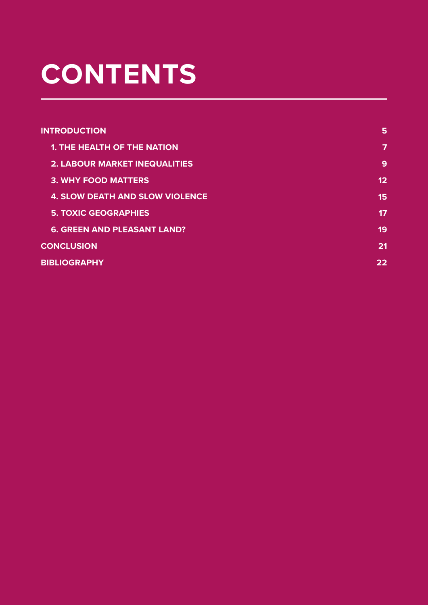# **CONTENTS**

| 5  |
|----|
| 7  |
| 9  |
| 12 |
| 15 |
| 17 |
| 19 |
| 21 |
| 22 |
|    |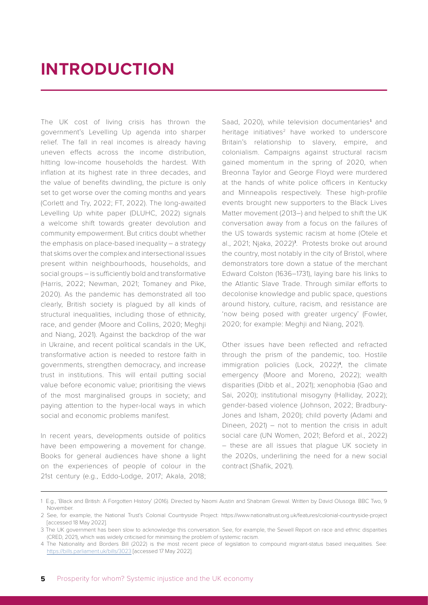### <span id="page-3-0"></span>**INTRODUCTION**

The UK cost of living crisis has thrown the government's Levelling Up agenda into sharper relief. The fall in real incomes is already having uneven effects across the income distribution, hitting low-income households the hardest. With inflation at its highest rate in three decades, and the value of benefits dwindling, the picture is only set to get worse over the coming months and years (Corlett and Try, 2022; FT, 2022). The long-awaited Levelling Up white paper (DLUHC, 2022) signals a welcome shift towards greater devolution and community empowerment. But critics doubt whether the emphasis on place-based inequality – a strategy that skims over the complex and intersectional issues present within neighbourhoods, households, and social groups – is sufficiently bold and transformative (Harris, 2022; Newman, 2021; Tomaney and Pike, 2020). As the pandemic has demonstrated all too clearly, British society is plagued by all kinds of structural inequalities, including those of ethnicity, race, and gender (Moore and Collins, 2020; Meghji and Niang, 2021). Against the backdrop of the war in Ukraine, and recent political scandals in the UK, transformative action is needed to restore faith in governments, strengthen democracy, and increase trust in institutions. This will entail putting social value before economic value; prioritising the views of the most marginalised groups in society; and paying attention to the hyper-local ways in which social and economic problems manifest.

In recent years, developments outside of politics have been empowering a movement for change. Books for general audiences have shone a light on the experiences of people of colour in the 21st century (e.g., Eddo-Lodge, 2017; Akala, 2018;

Saad, 2020), while television documentaries<sup>1</sup> and heritage initiatives $2$  have worked to underscore Britain's relationship to slavery, empire, and colonialism. Campaigns against structural racism gained momentum in the spring of 2020, when Breonna Taylor and George Floyd were murdered at the hands of white police officers in Kentucky and Minneapolis respectively. These high-profile events brought new supporters to the Black Lives Matter movement (2013–) and helped to shift the UK conversation away from a focus on the failures of the US towards systemic racism at home (Otele et al., 2021; Njaka, 2022)<sup>3</sup>. Protests broke out around the country, most notably in the city of Bristol, where demonstrators tore down a statue of the merchant Edward Colston (1636–1731), laying bare his links to the Atlantic Slave Trade. Through similar efforts to decolonise knowledge and public space, questions around history, culture, racism, and resistance are 'now being posed with greater urgency' (Fowler, 2020; for example: Meghji and Niang, 2021).

Other issues have been reflected and refracted through the prism of the pandemic, too. Hostile immigration policies (Lock, 2022)<sup>4</sup>, the climate emergency (Moore and Moreno, 2022); wealth disparities (Dibb et al., 2021); xenophobia (Gao and Sai, 2020); institutional misogyny (Halliday, 2022); gender-based violence (Johnson, 2022; Bradbury-Jones and Isham, 2020); child poverty (Adami and Dineen, 2021) – not to mention the crisis in adult social care (UN Women, 2021; Beford et al., 2022) – these are all issues that plague UK society in the 2020s, underlining the need for a new social contract (Shafik, 2021).

<sup>1</sup> E.g., 'Black and British: A Forgotten History' (2016). Directed by Naomi Austin and Shabnam Grewal. Written by David Olusoga. BBC Two, 9 November.

<sup>2</sup> See, for example, the National Trust's Colonial Countryside Project: <https://www.nationaltrust.org.uk/features/colonial-countryside-project> [accessed 18 May 2022].

<sup>3</sup> The UK government has been slow to acknowledge this conversation. See, for example, the Sewell Report on race and ethnic disparities (CRED, 2021), which was widely criticised for minimising the problem of systemic racism.

<sup>4</sup> The Nationality and Borders Bill (2022) is the most recent piece of legislation to compound migrant-status based inequalities. See: <https://bills.parliament.uk/bills/3023>[accessed 17 May 2022].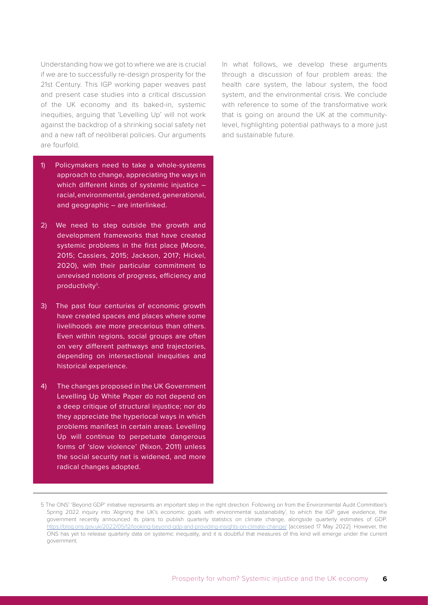Understanding how we got to where we are is crucial if we are to successfully re-design prosperity for the 21st Century. This IGP working paper weaves past and present case studies into a critical discussion of the UK economy and its baked-in, systemic inequities, arguing that 'Levelling Up' will not work against the backdrop of a shrinking social safety net and a new raft of neoliberal policies. Our arguments are fourfold.

- 1) Policymakers need to take a whole-systems approach to change, appreciating the ways in which different kinds of systemic injustice – racial, environmental, gendered, generational, and geographic – are interlinked.
- 2) We need to step outside the growth and development frameworks that have created systemic problems in the first place (Moore, 2015; Cassiers, 2015; Jackson, 2017; Hickel, 2020), with their particular commitment to unrevised notions of progress, efficiency and productivity<sup>5</sup>.
- 3) The past four centuries of economic growth have created spaces and places where some livelihoods are more precarious than others. Even within regions, social groups are often on very different pathways and trajectories, depending on intersectional inequities and historical experience.
- 4) The changes proposed in the UK Government Levelling Up White Paper do not depend on a deep critique of structural injustice; nor do they appreciate the hyperlocal ways in which problems manifest in certain areas. Levelling Up will continue to perpetuate dangerous forms of 'slow violence' (Nixon, 2011) unless the social security net is widened, and more radical changes adopted.

In what follows, we develop these arguments through a discussion of four problem areas: the health care system, the labour system, the food system, and the environmental crisis. We conclude with reference to some of the transformative work that is going on around the UK at the communitylevel, highlighting potential pathways to a more just and sustainable future.

<sup>5</sup> The ONS' 'Beyond GDP' initiative represents an important step in the right direction. Following on from the Environmental Audit Committee's Spring 2022 inquiry into 'Aligning the UK's economic goals with environmental sustainability', to which the IGP gave evidence, the government recently announced its plans to publish quarterly statistics on climate change, alongside quarterly estimates of GDP: <https://blog.ons.gov.uk/2022/05/12/looking-beyond-gdp-and-providing-insights-on-climate-change/>[accessed 17 May 2022]. However, the ONS has yet to release quarterly data on systemic inequality, and it is doubtful that measures of this kind will emerge under the current government.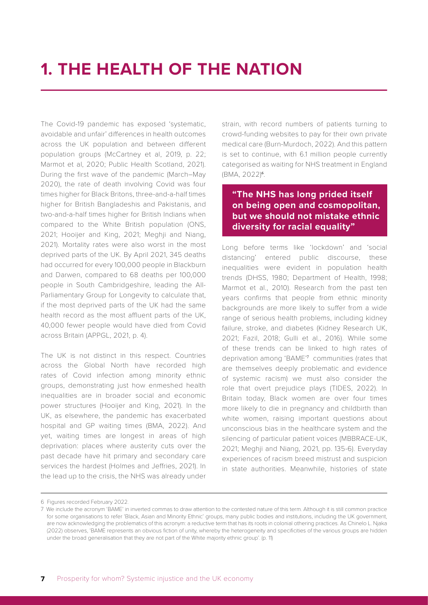### <span id="page-5-0"></span>**1. THE HEALTH OF THE NATION**

The Covid-19 pandemic has exposed 'systematic, avoidable and unfair' differences in health outcomes across the UK population and between different population groups (McCartney et al, 2019, p. 22; Marmot et al, 2020; Public Health Scotland, 2021). During the first wave of the pandemic (March–May 2020), the rate of death involving Covid was four times higher for Black Britons, three-and-a-half times higher for British Bangladeshis and Pakistanis, and two-and-a-half times higher for British Indians when compared to the White British population (ONS, 2021; Hooijer and King, 2021; Meghji and Niang, 2021). Mortality rates were also worst in the most deprived parts of the UK. By April 2021, 345 deaths had occurred for every 100,000 people in Blackburn and Darwen, compared to 68 deaths per 100,000 people in South Cambridgeshire, leading the All-Parliamentary Group for Longevity to calculate that, if the most deprived parts of the UK had the same health record as the most affluent parts of the UK, 40,000 fewer people would have died from Covid across Britain (APPGL, 2021, p. 4).

The UK is not distinct in this respect. Countries across the Global North have recorded high rates of Covid infection among minority ethnic groups, demonstrating just how enmeshed health inequalities are in broader social and economic power structures (Hooijer and King, 2021). In the UK, as elsewhere, the pandemic has exacerbated hospital and GP waiting times (BMA, 2022). And yet, waiting times are longest in areas of high deprivation: places where austerity cuts over the past decade have hit primary and secondary care services the hardest (Holmes and Jeffries, 2021). In the lead up to the crisis, the NHS was already under strain, with record numbers of patients turning to crowd-funding websites to pay for their own private medical care (Burn-Murdoch, 2022). And this pattern is set to continue, with 6.1 million people currently categorised as waiting for NHS treatment in England (BMA, 2022)<sup>6</sup>.

#### **"The NHS has long prided itself on being open and cosmopolitan, but we should not mistake ethnic diversity for racial equality"**

Long before terms like 'lockdown' and 'social distancing' entered public discourse, these inequalities were evident in population health trends (DHSS, 1980; Department of Health, 1998; Marmot et al., 2010). Research from the past ten years confirms that people from ethnic minority backgrounds are more likely to suffer from a wide range of serious health problems, including kidney failure, stroke, and diabetes (Kidney Research UK, 2021; Fazil, 2018; Gulli et al., 2016). While some of these trends can be linked to high rates of deprivation among 'BAME'<sup>7</sup> communities (rates that are themselves deeply problematic and evidence of systemic racism) we must also consider the role that overt prejudice plays (TIDES, 2022). In Britain today, Black women are over four times more likely to die in pregnancy and childbirth than white women, raising important questions about unconscious bias in the healthcare system and the silencing of particular patient voices (MBBRACE-UK, 2021; Meghji and Niang, 2021, pp. 135-6). Everyday experiences of racism breed mistrust and suspicion in state authorities. Meanwhile, histories of state

<sup>6</sup> Figures recorded February 2022.

<sup>7</sup> We include the acronym 'BAME' in inverted commas to draw attention to the contested nature of this term. Although it is still common practice for some organisations to refer 'Black, Asian and Minority Ethnic' groups, many public bodies and institutions, including the UK government, are now acknowledging the problematics of this acronym: a reductive term that has its roots in colonial othering practices. As Chinelo L. Njaka (2022) observes, 'BAME represents an obvious fiction of unity, whereby the heterogeneity and specificities of the various groups are hidden under the broad generalisation that they are not part of the White majority ethnic group'. (p. 11)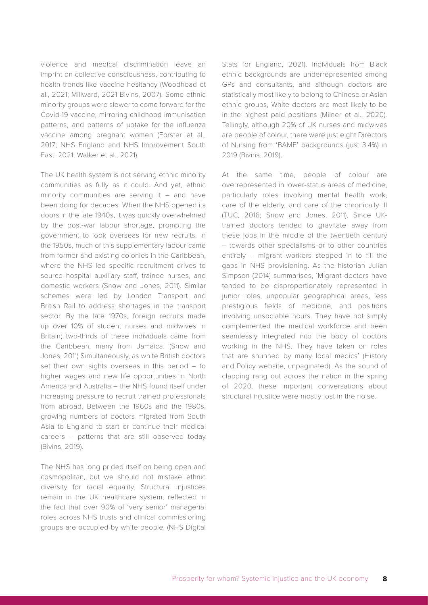violence and medical discrimination leave an imprint on collective consciousness, contributing to health trends like vaccine hesitancy (Woodhead et al., 2021; Millward, 2021 Bivins, 2007). Some ethnic minority groups were slower to come forward for the Covid-19 vaccine, mirroring childhood immunisation patterns, and patterns of uptake for the influenza vaccine among pregnant women (Forster et al., 2017; NHS England and NHS Improvement South East, 2021; Walker et al., 2021).

The UK health system is not serving ethnic minority communities as fully as it could. And yet, ethnic minority communities are serving it – and have been doing for decades. When the NHS opened its doors in the late 1940s, it was quickly overwhelmed by the post-war labour shortage, prompting the government to look overseas for new recruits. In the 1950s, much of this supplementary labour came from former and existing colonies in the Caribbean, where the NHS led specific recruitment drives to source hospital auxiliary staff, trainee nurses, and domestic workers (Snow and Jones, 2011). Similar schemes were led by London Transport and British Rail to address shortages in the transport sector. By the late 1970s, foreign recruits made up over 10% of student nurses and midwives in Britain; two-thirds of these individuals came from the Caribbean, many from Jamaica. (Snow and Jones, 2011) Simultaneously, as white British doctors set their own sights overseas in this period – to higher wages and new life opportunities in North America and Australia – the NHS found itself under increasing pressure to recruit trained professionals from abroad. Between the 1960s and the 1980s, growing numbers of doctors migrated from South Asia to England to start or continue their medical careers – patterns that are still observed today (Bivins, 2019).

The NHS has long prided itself on being open and cosmopolitan, but we should not mistake ethnic diversity for racial equality. Structural injustices remain in the UK healthcare system, reflected in the fact that over 90% of 'very senior' managerial roles across NHS trusts and clinical commissioning groups are occupied by white people. (NHS Digital Stats for England, 2021). Individuals from Black ethnic backgrounds are underrepresented among GPs and consultants, and although doctors are statistically most likely to belong to Chinese or Asian ethnic groups, White doctors are most likely to be in the highest paid positions (Milner et al., 2020). Tellingly, although 20% of UK nurses and midwives are people of colour, there were just eight Directors of Nursing from 'BAME' backgrounds (just 3.4%) in 2019 (Bivins, 2019).

At the same time, people of colour are overrepresented in lower-status areas of medicine, particularly roles involving mental health work, care of the elderly, and care of the chronically ill (TUC, 2016; Snow and Jones, 2011). Since UKtrained doctors tended to gravitate away from these jobs in the middle of the twentieth century – towards other specialisms or to other countries entirely – migrant workers stepped in to fill the gaps in NHS provisioning. As the historian Julian Simpson (2014) summarises, 'Migrant doctors have tended to be disproportionately represented in junior roles, unpopular geographical areas, less prestigious fields of medicine, and positions involving unsociable hours. They have not simply complemented the medical workforce and been seamlessly integrated into the body of doctors working in the NHS. They have taken on roles that are shunned by many local medics' (History and Policy website, unpaginated). As the sound of clapping rang out across the nation in the spring of 2020, these important conversations about structural injustice were mostly lost in the noise.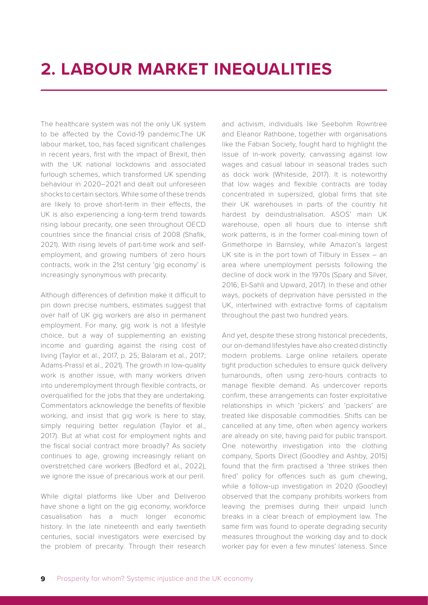<span id="page-7-0"></span>The healthcare system was not the only UK system to be affected by the Covid-19 pandemic.The UK labour market, too, has faced significant challenges in recent years, first with the impact of Brexit, then with the UK national lockdowns and associated furlough schemes, which transformed UK spending behaviour in 2020–2021 and dealt out unforeseen shocks to certain sectors. While some of these trends are likely to prove short-term in their effects, the UK is also experiencing a long-term trend towards rising labour precarity, one seen throughout OECD countries since the financial crisis of 2008 (Shafik, 2021). With rising levels of part-time work and selfemployment, and growing numbers of zero hours contracts, work in the 21st century 'gig economy' is increasingly synonymous with precarity.

Although differences of definition make it difficult to pin down precise numbers, estimates suggest that over half of UK gig workers are also in permanent employment. For many, gig work is not a lifestyle choice, but a way of supplementing an existing income and guarding against the rising cost of living (Taylor et al., 2017, p. 25; Balaram et al., 2017; Adams-Prassl et al., 2021). The growth in low-quality work is another issue, with many workers driven into underemployment through flexible contracts, or overqualified for the jobs that they are undertaking. Commentators acknowledge the benefits of flexible working, and insist that gig work is here to stay, simply requiring better regulation (Taylor et al., 2017). But at what cost for employment rights and the fiscal social contract more broadly? As society continues to age, growing increasingly reliant on overstretched care workers (Bedford et al., 2022), we ignore the issue of precarious work at our peril.

While digital platforms like Uber and Deliveroo have shone a light on the gig economy, workforce casualisation has a much longer economic history. In the late nineteenth and early twentieth centuries, social investigators were exercised by the problem of precarity. Through their research

and activism, individuals like Seebohm Rowntree and Eleanor Rathbone, together with organisations like the Fabian Society, fought hard to highlight the issue of in-work poverty, canvassing against low wages and casual labour in seasonal trades such as dock work (Whiteside, 2017). It is noteworthy that low wages and flexible contracts are today concentrated in supersized, global firms that site their UK warehouses in parts of the country hit hardest by deindustrialisation. ASOS' main UK warehouse, open all hours due to intense shift work patterns, is in the former coal-mining town of Grimethorpe in Barnsley, while Amazon's largest UK site is in the port town of Tilbury in Essex – an area where unemployment persists following the decline of dock work in the 1970s (Spary and Silver, 2016; El-Sahli and Upward, 2017). In these and other ways, pockets of deprivation have persisted in the UK, intertwined with extractive forms of capitalism throughout the past two hundred years.

And yet, despite these strong historical precedents, our on-demand lifestyles have also created distinctly modern problems. Large online retailers operate tight production schedules to ensure quick delivery turnarounds, often using zero-hours contracts to manage flexible demand. As undercover reports confirm, these arrangements can foster exploitative relationships in which 'pickers' and 'packers' are treated like disposable commodities. Shifts can be cancelled at any time, often when agency workers are already on site, having paid for public transport. One noteworthy investigation into the clothing company, Sports Direct (Goodley and Ashby, 2015) found that the firm practised a 'three strikes then fired' policy for offences such as gum chewing, while a follow-up investigation in 2020 (Goodley) observed that the company prohibits workers from leaving the premises during their unpaid lunch breaks in a clear breach of employment law. The same firm was found to operate degrading security measures throughout the working day and to dock worker pay for even a few minutes' lateness. Since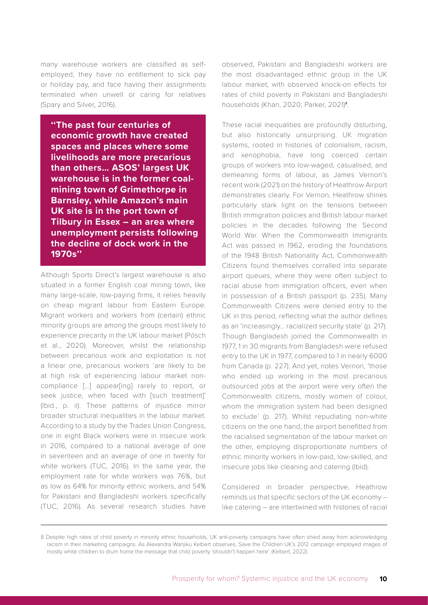many warehouse workers are classified as selfemployed, they have no entitlement to sick pay or holiday pay, and face having their assignments terminated when unwell or caring for relatives (Spary and Silver, 2016).

**''The past four centuries of economic growth have created spaces and places where some livelihoods are more precarious than others… ASOS' largest UK warehouse is in the former coalmining town of Grimethorpe in Barnsley, while Amazon's main UK site is in the port town of Tilbury in Essex – an area where unemployment persists following the decline of dock work in the 1970s''**

Although Sports Direct's largest warehouse is also situated in a former English coal mining town, like many large-scale, low-paying firms, it relies heavily on cheap migrant labour from Eastern Europe. Migrant workers and workers from (certain) ethnic minority groups are among the groups most likely to experience precarity in the UK labour market (Pósch et al., 2020). Moreover, whilst the relationship between precarious work and exploitation is not a linear one, precarious workers 'are likely to be at high risk of experiencing labour market noncompliance […] appear[ing] rarely to report, or seek justice, when faced with [such treatment]' (Ibid., p. ii). These patterns of injustice mirror broader structural inequalities in the labour market. According to a study by the Trades Union Congress, one in eight Black workers were in insecure work in 2016, compared to a national average of one in seventeen and an average of one in twenty for white workers (TUC, 2016). In the same year, the employment rate for white workers was 76%, but as low as 64% for minority ethnic workers, and 54% for Pakistani and Bangladeshi workers specifically (TUC, 2016). As several research studies have

observed, Pakistani and Bangladeshi workers are the most disadvantaged ethnic group in the UK labour market, with observed knock-on effects for rates of child poverty in Pakistani and Bangladeshi households (Khan, 2020; Parker, 2021)<sup>8</sup>.

These racial inequalities are profoundly disturbing, but also historically unsurprising. UK migration systems, rooted in histories of colonialism, racism, and xenophobia, have long coerced certain groups of workers into low-waged, casualised, and demeaning forms of labour, as James Vernon's recent work (2021) on the history of Heathrow Airport demonstrates clearly. For Vernon, Heathrow shines particularly stark light on the tensions between British immigration policies and British labour market policies in the decades following the Second World War. When the Commonwealth Immigrants Act was passed in 1962, eroding the foundations of the 1948 British Nationality Act, Commonwealth Citizens found themselves corralled into separate airport queues, where they were often subject to racial abuse from immigration officers, even when in possession of a British passport (p. 235). Many Commonwealth Citizens were denied entry to the UK in this period, reflecting what the author defines as an 'increasingly… racialized security state' (p. 217). Though Bangladesh joined the Commonwealth in 1977, 1 in 30 migrants from Bangladesh were refused entry to the UK in 1977, compared to 1 in nearly 6000 from Canada (p. 227). And yet, notes Vernon, 'those who ended up working in the most precarious outsourced jobs at the airport were very often the Commonwealth citizens, mostly women of colour, whom the immigration system had been designed to exclude' (p. 217). Whilst repudiating non-white citizens on the one hand, the airport benefitted from the racialised segmentation of the labour market on the other, employing disproportionate numbers of ethnic minority workers in low-paid, low-skilled, and insecure jobs like cleaning and catering (Ibid).

Considered in broader perspective, Heathrow reminds us that specific sectors of the UK economy – like catering – are intertwined with histories of racial

<sup>8</sup> Despite high rates of child poverty in minority ethnic households, UK anti-poverty campaigns have often shied away from acknowledging racism in their marketing campaigns. As Alexandra Wanjiku Kelbert observes, Save the Children UK's 2012 campaign employed images of mostly white children to drum home the message that child poverty 'shouldn't happen here'. (Kelbert, 2022).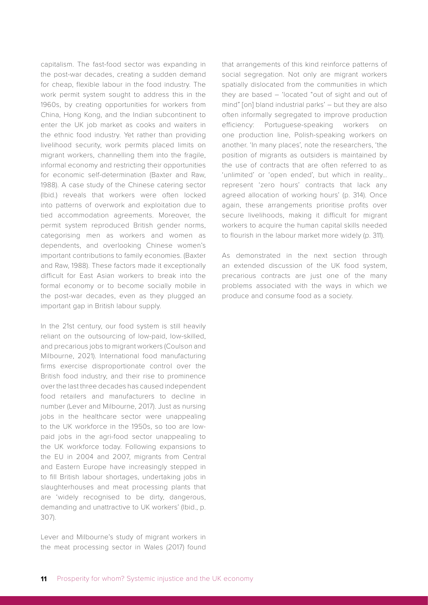capitalism. The fast-food sector was expanding in the post-war decades, creating a sudden demand for cheap, flexible labour in the food industry. The work permit system sought to address this in the 1960s, by creating opportunities for workers from China, Hong Kong, and the Indian subcontinent to enter the UK job market as cooks and waiters in the ethnic food industry. Yet rather than providing livelihood security, work permits placed limits on migrant workers, channelling them into the fragile, informal economy and restricting their opportunities for economic self-determination (Baxter and Raw, 1988). A case study of the Chinese catering sector (Ibid.) reveals that workers were often locked into patterns of overwork and exploitation due to tied accommodation agreements. Moreover, the permit system reproduced British gender norms, categorising men as workers and women as dependents, and overlooking Chinese women's important contributions to family economies. (Baxter and Raw, 1988). These factors made it exceptionally difficult for East Asian workers to break into the formal economy or to become socially mobile in the post-war decades, even as they plugged an important gap in British labour supply.

In the 21st century, our food system is still heavily reliant on the outsourcing of low-paid, low-skilled, and precarious jobs to migrant workers (Coulson and Milbourne, 2021). International food manufacturing firms exercise disproportionate control over the British food industry, and their rise to prominence over the last three decades has caused independent food retailers and manufacturers to decline in number (Lever and Milbourne, 2017). Just as nursing jobs in the healthcare sector were unappealing to the UK workforce in the 1950s, so too are lowpaid jobs in the agri-food sector unappealing to the UK workforce today. Following expansions to the EU in 2004 and 2007, migrants from Central and Eastern Europe have increasingly stepped in to fill British labour shortages, undertaking jobs in slaughterhouses and meat processing plants that are 'widely recognised to be dirty, dangerous, demanding and unattractive to UK workers' (Ibid., p. 307).

Lever and Milbourne's study of migrant workers in the meat processing sector in Wales (2017) found that arrangements of this kind reinforce patterns of social segregation. Not only are migrant workers spatially dislocated from the communities in which they are based – 'located "out of sight and out of mind" [on] bland industrial parks' – but they are also often informally segregated to improve production efficiency: Portuguese-speaking workers on one production line, Polish-speaking workers on another. 'In many places', note the researchers, 'the position of migrants as outsiders is maintained by the use of contracts that are often referred to as 'unlimited' or 'open ended', but which in reality… represent 'zero hours' contracts that lack any agreed allocation of working hours' (p. 314). Once again, these arrangements prioritise profits over secure livelihoods, making it difficult for migrant workers to acquire the human capital skills needed to flourish in the labour market more widely (p. 311).

As demonstrated in the next section through an extended discussion of the UK food system, precarious contracts are just one of the many problems associated with the ways in which we produce and consume food as a society.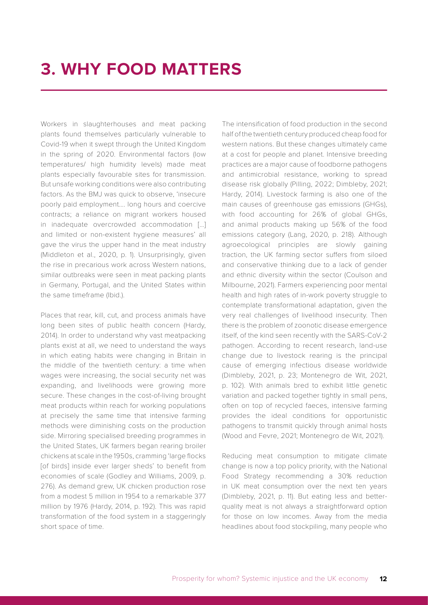### <span id="page-10-0"></span>**3. WHY FOOD MATTERS**

Workers in slaughterhouses and meat packing plants found themselves particularly vulnerable to Covid-19 when it swept through the United Kingdom in the spring of 2020. Environmental factors (low temperatures/ high humidity levels) made meat plants especially favourable sites for transmission. But unsafe working conditions were also contributing factors. As the BMJ was quick to observe, 'insecure poorly paid employment…. long hours and coercive contracts; a reliance on migrant workers housed in inadequate overcrowded accommodation […] and limited or non-existent hygiene measures' all gave the virus the upper hand in the meat industry (Middleton et al., 2020, p. 1). Unsurprisingly, given the rise in precarious work across Western nations, similar outbreaks were seen in meat packing plants in Germany, Portugal, and the United States within the same timeframe (Ibid.).

Places that rear, kill, cut, and process animals have long been sites of public health concern (Hardy, 2014). In order to understand why vast meatpacking plants exist at all, we need to understand the ways in which eating habits were changing in Britain in the middle of the twentieth century: a time when wages were increasing, the social security net was expanding, and livelihoods were growing more secure. These changes in the cost-of-living brought meat products within reach for working populations at precisely the same time that intensive farming methods were diminishing costs on the production side. Mirroring specialised breeding programmes in the United States, UK farmers began rearing broiler chickens at scale in the 1950s, cramming 'large flocks [of birds] inside ever larger sheds' to benefit from economies of scale (Godley and Williams, 2009, p. 276). As demand grew, UK chicken production rose from a modest 5 million in 1954 to a remarkable 377 million by 1976 (Hardy, 2014, p. 192). This was rapid transformation of the food system in a staggeringly short space of time.

The intensification of food production in the second half of the twentieth century produced cheap food for western nations. But these changes ultimately came at a cost for people and planet. Intensive breeding practices are a major cause of foodborne pathogens and antimicrobial resistance, working to spread disease risk globally (Pilling, 2022; Dimbleby, 2021; Hardy, 2014). Livestock farming is also one of the main causes of greenhouse gas emissions (GHGs), with food accounting for 26% of global GHGs, and animal products making up 56% of the food emissions category (Lang, 2020, p. 218). Although agroecological principles are slowly gaining traction, the UK farming sector suffers from siloed and conservative thinking due to a lack of gender and ethnic diversity within the sector (Coulson and Milbourne, 2021). Farmers experiencing poor mental health and high rates of in-work poverty struggle to contemplate transformational adaptation, given the very real challenges of livelihood insecurity. Then there is the problem of zoonotic disease emergence itself, of the kind seen recently with the SARS-CoV-2 pathogen. According to recent research, land-use change due to livestock rearing is the principal cause of emerging infectious disease worldwide (Dimbleby, 2021, p. 23; Montenegro de Wit, 2021, p. 102). With animals bred to exhibit little genetic variation and packed together tightly in small pens, often on top of recycled faeces, intensive farming provides the ideal conditions for opportunistic pathogens to transmit quickly through animal hosts (Wood and Fevre, 2021; Montenegro de Wit, 2021).

Reducing meat consumption to mitigate climate change is now a top policy priority, with the National Food Strategy recommending a 30% reduction in UK meat consumption over the next ten years (Dimbleby, 2021, p. 11). But eating less and betterquality meat is not always a straightforward option for those on low incomes. Away from the media headlines about food stockpiling, many people who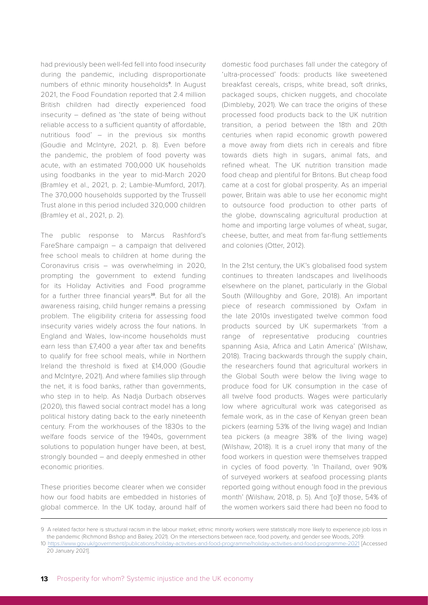had previously been well-fed fell into food insecurity during the pandemic, including disproportionate numbers of ethnic minority households<sup>9</sup>. In August 2021, the Food Foundation reported that 2.4 million British children had directly experienced food insecurity – defined as 'the state of being without reliable access to a sufficient quantity of affordable, nutritious food' – in the previous six months (Goudie and McIntyre, 2021, p. 8). Even before the pandemic, the problem of food poverty was acute, with an estimated 700,000 UK households using foodbanks in the year to mid-March 2020 (Bramley et al., 2021, p. 2; Lambie-Mumford, 2017). The 370,000 households supported by the Trussell Trust alone in this period included 320,000 children (Bramley et al., 2021, p. 2).

The public response to Marcus Rashford's FareShare campaign – a campaign that delivered free school meals to children at home during the Coronavirus crisis – was overwhelming in 2020, prompting the government to extend funding for its Holiday Activities and Food programme for a further three financial years<sup>10</sup>. But for all the awareness raising, child hunger remains a pressing problem. The eligibility criteria for assessing food insecurity varies widely across the four nations. In England and Wales, low-income households must earn less than £7,400 a year after tax and benefits to qualify for free school meals, while in Northern Ireland the threshold is fixed at £14,000 (Goudie and McIntyre, 2021). And where families slip through the net, it is food banks, rather than governments, who step in to help. As Nadja Durbach observes (2020), this flawed social contract model has a long political history dating back to the early nineteenth century. From the workhouses of the 1830s to the welfare foods service of the 1940s, government solutions to population hunger have been, at best, strongly bounded – and deeply enmeshed in other economic priorities.

These priorities become clearer when we consider how our food habits are embedded in histories of global commerce. In the UK today, around half of domestic food purchases fall under the category of 'ultra-processed' foods: products like sweetened breakfast cereals, crisps, white bread, soft drinks, packaged soups, chicken nuggets, and chocolate (Dimbleby, 2021). We can trace the origins of these processed food products back to the UK nutrition transition, a period between the 18th and 20th centuries when rapid economic growth powered a move away from diets rich in cereals and fibre towards diets high in sugars, animal fats, and refined wheat. The UK nutrition transition made food cheap and plentiful for Britons. But cheap food came at a cost for global prosperity. As an imperial power, Britain was able to use her economic might to outsource food production to other parts of the globe, downscaling agricultural production at home and importing large volumes of wheat, sugar, cheese, butter, and meat from far-flung settlements and colonies (Otter, 2012).

In the 21st century, the UK's globalised food system continues to threaten landscapes and livelihoods elsewhere on the planet, particularly in the Global South (Willoughby and Gore, 2018). An important piece of research commissioned by Oxfam in the late 2010s investigated twelve common food products sourced by UK supermarkets 'from a range of representative producing countries spanning Asia, Africa and Latin America' (Wilshaw, 2018). Tracing backwards through the supply chain, the researchers found that agricultural workers in the Global South were below the living wage to produce food for UK consumption in the case of all twelve food products. Wages were particularly low where agricultural work was categorised as female work, as in the case of Kenyan green bean pickers (earning 53% of the living wage) and Indian tea pickers (a meagre 38% of the living wage) (Wilshaw, 2018). It is a cruel irony that many of the food workers in question were themselves trapped in cycles of food poverty. 'In Thailand, over 90% of surveyed workers at seafood processing plants reported going without enough food in the previous month' (Wilshaw, 2018, p. 5). And '[o]f those, 54% of the women workers said there had been no food to

<sup>9</sup> A related factor here is structural racism in the labour market; ethnic minority workers were statistically more likely to experience job loss in the pandemic (Richmond Bishop and Bailey, 2021). On the intersections between race, food poverty, and gender see Woods, 2019.

<sup>10</sup> <https://www.gov.uk/government/publications/holiday-activities-and-food-programme/holiday-activities-and-food-programme-2021> [Accessed 20 January 2021].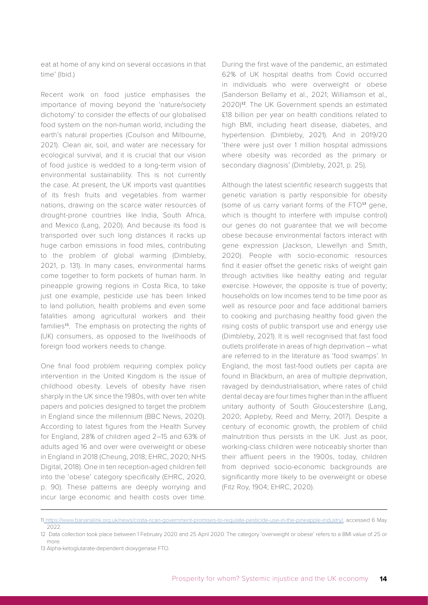eat at home of any kind on several occasions in that time' (Ibid.)

Recent work on food justice emphasises the importance of moving beyond the 'nature/society dichotomy' to consider the effects of our globalised food system on the non-human world, including the earth's natural properties (Coulson and Milbourne, 2021). Clean air, soil, and water are necessary for ecological survival, and it is crucial that our vision of food justice is wedded to a long-term vision of environmental sustainability. This is not currently the case. At present, the UK imports vast quantities of its fresh fruits and vegetables from warmer nations, drawing on the scarce water resources of drought-prone countries like India, South Africa, and Mexico (Lang, 2020). And because its food is transported over such long distances it racks up huge carbon emissions in food miles, contributing to the problem of global warming (Dimbleby, 2021, p. 131). In many cases, environmental harms come together to form pockets of human harm. In pineapple growing regions in Costa Rica, to take just one example, pesticide use has been linked to land pollution, health problems and even some fatalities among agricultural workers and their families<sup>11</sup>. The emphasis on protecting the rights of (UK) consumers, as opposed to the livelihoods of foreign food workers needs to change.

One final food problem requiring complex policy intervention in the United Kingdom is the issue of childhood obesity. Levels of obesity have risen sharply in the UK since the 1980s, with over ten white papers and policies designed to target the problem in England since the millennium (BBC News, 2020). According to latest figures from the Health Survey for England, 28% of children aged 2–15 and 63% of adults aged 16 and over were overweight or obese in England in 2018 (Cheung, 2018; EHRC, 2020; NHS Digital, 2018). One in ten reception-aged children fell into the 'obese' category specifically (EHRC, 2020, p. 90). These patterns are deeply worrying and incur large economic and health costs over time. During the first wave of the pandemic, an estimated 62% of UK hospital deaths from Covid occurred in individuals who were overweight or obese (Sanderson Bellamy et al., 2021; Williamson et al., 2020)12. The UK Government spends an estimated £18 billion per year on health conditions related to high BMI, including heart disease, diabetes, and hypertension. (Dimbleby, 2021). And in 2019/20 'there were just over 1 million hospital admissions where obesity was recorded as the primary or secondary diagnosis' (Dimbleby, 2021, p. 25).

Although the latest scientific research suggests that genetic variation is partly responsible for obesity (some of us carry variant forms of the FTO<sup>13</sup> gene, which is thought to interfere with impulse control) our genes do not guarantee that we will become obese because environmental factors interact with gene expression (Jackson, Llewellyn and Smith, 2020). People with socio-economic resources find it easier offset the genetic risks of weight gain through activities like healthy eating and regular exercise. However, the opposite is true of poverty; households on low incomes tend to be time poor as well as resource poor and face additional barriers to cooking and purchasing healthy food given the rising costs of public transport use and energy use (Dimbleby, 2021). It is well recognised that fast food outlets proliferate in areas of high deprivation – what are referred to in the literature as 'food swamps'. In England, the most fast-food outlets per capita are found in Blackburn, an area of multiple deprivation, ravaged by deindustrialisation, where rates of child dental decay are four times higher than in the affluent unitary authority of South Gloucestershire (Lang, 2020; Appleby, Reed and Merry, 2017). Despite a century of economic growth, the problem of child malnutrition thus persists in the UK. Just as poor, working-class children were noticeably shorter than their affluent peers in the 1900s, today, children from deprived socio-economic backgrounds are significantly more likely to be overweight or obese (Fitz Roy, 1904; EHRC, 2020).

<sup>1</sup>[1 https://www.bananalink.org.uk/news/costa-rican-government-promises-to-regulate-pesticide-use-in-the-pineapple-industry/]( https://www.bananalink.org.uk/news/costa-rican-government-promises-to-regulate-pesticide-use-in-the), accessed 6 May 2022.

<sup>12</sup> Data collection took place between 1 February 2020 and 25 April 2020. The category 'overweight or obese' refers to a BMI value of 25 or more.

<sup>13</sup> Alpha-ketoglutarate-dependent dioxygenase FTO.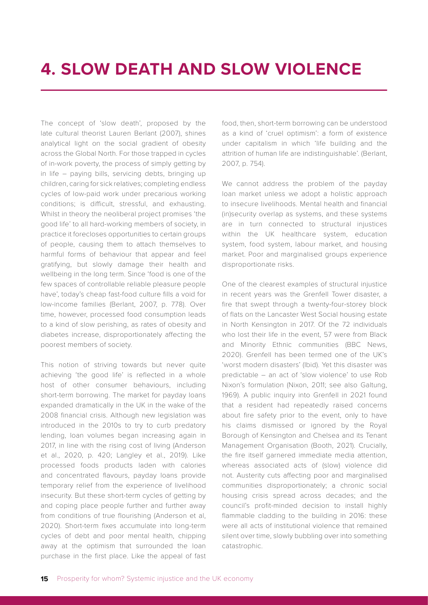<span id="page-13-0"></span>The concept of 'slow death', proposed by the late cultural theorist Lauren Berlant (2007), shines analytical light on the social gradient of obesity across the Global North. For those trapped in cycles of in-work poverty, the process of simply getting by in life – paying bills, servicing debts, bringing up children, caring for sick relatives; completing endless cycles of low-paid work under precarious working conditions; is difficult, stressful, and exhausting. Whilst in theory the neoliberal project promises 'the good life' to all hard-working members of society, in practice it forecloses opportunities to certain groups of people, causing them to attach themselves to harmful forms of behaviour that appear and feel gratifying, but slowly damage their health and wellbeing in the long term. Since 'food is one of the few spaces of controllable reliable pleasure people have', today's cheap fast-food culture fills a void for low-income families (Berlant, 2007, p. 778). Over time, however, processed food consumption leads to a kind of slow perishing, as rates of obesity and diabetes increase, disproportionately affecting the poorest members of society.

This notion of striving towards but never quite achieving 'the good life' is reflected in a whole host of other consumer behaviours, including short-term borrowing. The market for payday loans expanded dramatically in the UK in the wake of the 2008 financial crisis. Although new legislation was introduced in the 2010s to try to curb predatory lending, loan volumes began increasing again in 2017, in line with the rising cost of living (Anderson et al., 2020, p. 420; Langley et al., 2019). Like processed foods products laden with calories and concentrated flavours, payday loans provide temporary relief from the experience of livelihood insecurity. But these short-term cycles of getting by and coping place people further and further away from conditions of true flourishing (Anderson et al, 2020). Short-term fixes accumulate into long-term cycles of debt and poor mental health, chipping away at the optimism that surrounded the loan purchase in the first place. Like the appeal of fast food, then, short-term borrowing can be understood as a kind of 'cruel optimism': a form of existence under capitalism in which 'life building and the attrition of human life are indistinguishable'. (Berlant, 2007, p. 754).

We cannot address the problem of the payday loan market unless we adopt a holistic approach to insecure livelihoods. Mental health and financial (in)security overlap as systems, and these systems are in turn connected to structural injustices within the UK healthcare system, education system, food system, labour market, and housing market. Poor and marginalised groups experience disproportionate risks.

One of the clearest examples of structural injustice in recent years was the Grenfell Tower disaster, a fire that swept through a twenty-four-storey block of flats on the Lancaster West Social housing estate in North Kensington in 2017. Of the 72 individuals who lost their life in the event, 57 were from Black and Minority Ethnic communities (BBC News, 2020). Grenfell has been termed one of the UK's 'worst modern disasters' (Ibid). Yet this disaster was predictable – an act of 'slow violence' to use Rob Nixon's formulation (Nixon, 2011; see also Galtung, 1969). A public inquiry into Grenfell in 2021 found that a resident had repeatedly raised concerns about fire safety prior to the event, only to have his claims dismissed or ignored by the Royal Borough of Kensington and Chelsea and its Tenant Management Organisation (Booth, 2021). Crucially, the fire itself garnered immediate media attention, whereas associated acts of (slow) violence did not. Austerity cuts affecting poor and marginalised communities disproportionately; a chronic social housing crisis spread across decades; and the council's profit-minded decision to install highly flammable cladding to the building in 2016: these were all acts of institutional violence that remained silent over time, slowly bubbling over into something catastrophic.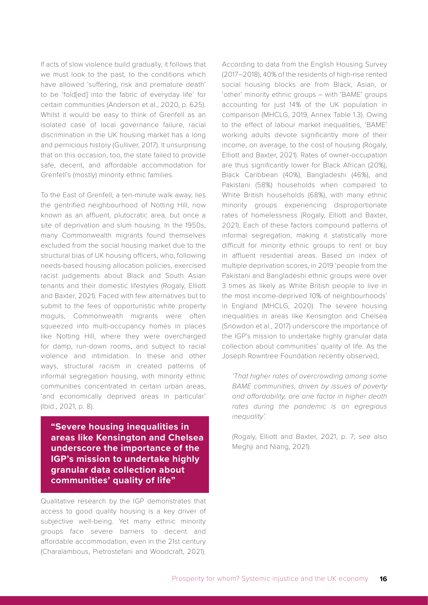If acts of slow violence build gradually, it follows that we must look to the past, to the conditions which have allowed 'suffering, risk and premature death' to be 'fold[ed] into the fabric of everyday life' for certain communities (Anderson et al., 2020, p. 625). Whilst it would be easy to think of Grenfell as an isolated case of local governance failure, racial discrimination in the UK housing market has a long and pernicious history (Gulliver, 2017). It unsurprising that on this occasion, too, the state failed to provide safe, decent, and affordable accommodation for Grenfell's (mostly) minority ethnic families.

To the East of Grenfell, a ten-minute walk away, lies the gentrified neighbourhood of Notting Hill, now known as an affluent, plutocratic area, but once a site of deprivation and slum housing. In the 1950s, many Commonwealth migrants found themselves excluded from the social housing market due to the structural bias of UK housing officers, who, following needs-based housing allocation policies, exercised racist judgements about Black and South Asian tenants and their domestic lifestyles (Rogaly, Elliott and Baxter, 2021). Faced with few alternatives but to submit to the fees of opportunistic white property moguls, Commonwealth migrants were often squeezed into multi-occupancy homes in places like Notting Hill, where they were overcharged for damp, run-down rooms, and subject to racial violence and intimidation. In these and other ways, structural racism in created patterns of informal segregation housing, with minority ethnic communities concentrated in certain urban areas, 'and economically deprived areas in particular' (Ibid., 2021, p. 8).

**"Severe housing inequalities in areas like Kensington and Chelsea underscore the importance of the IGP's mission to undertake highly granular data collection about communities' quality of life"**

Qualitative research by the IGP demonstrates that access to good quality housing is a key driver of subjective well-being. Yet many ethnic minority groups face severe barriers to decent and affordable accommodation, even in the 21st century (Charalambous, Pietrostefani and Woodcraft, 2021). According to data from the English Housing Survey (2017–2018), 40% of the residents of high-rise rented social housing blocks are from Black, Asian, or 'other' minority ethnic groups – with 'BAME' groups accounting for just 14% of the UK population in comparison (MHCLG, 2019, Annex Table 1.3). Owing to the effect of labour market inequalities, 'BAME' working adults devote significantly more of their income, on average, to the cost of housing (Rogaly, Elliott and Baxter, 2021). Rates of owner-occupation are thus significantly lower for Black African (20%), Black Caribbean (40%), Bangladeshi (46%), and Pakistani (58%) households when compared to White British households (68%), with many ethnic minority groups experiencing disproportionate rates of homelessness (Rogaly, Elliott and Baxter, 2021). Each of these factors compound patterns of informal segregation, making it statistically more difficult for minority ethnic groups to rent or buy in affluent residential areas. Based on index of multiple deprivation scores, in 2019 'people from the Pakistani and Bangladeshi ethnic groups were over 3 times as likely as White British people to live in the most income-deprived 10% of neighbourhoods' in England (MHCLG, 2020). The severe housing inequalities in areas like Kensington and Chelsea (Snowdon et al., 2017) underscore the importance of the IGP's mission to undertake highly granular data collection about communities' quality of life. As the Joseph Rowntree Foundation recently observed,

*'That higher rates of overcrowding among some BAME communities, driven by issues of poverty and affordability, are one factor in higher death rates during the pandemic is an egregious inequality'.* 

(Rogaly, Elliott and Baxter, 2021, p. 7; see also Meghji and Niang, 2021).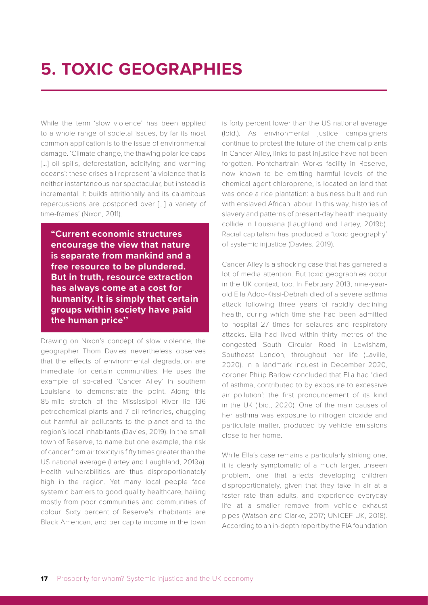### <span id="page-15-0"></span>**5. TOXIC GEOGRAPHIES**

While the term 'slow violence' has been applied to a whole range of societal issues, by far its most common application is to the issue of environmental damage. 'Climate change, the thawing polar ice caps [...] oil spills, deforestation, acidifying and warming oceans': these crises all represent 'a violence that is neither instantaneous nor spectacular, but instead is incremental. It builds attritionally and its calamitous repercussions are postponed over […] a variety of time-frames' (Nixon, 2011).

**"Current economic structures encourage the view that nature is separate from mankind and a free resource to be plundered. But in truth, resource extraction has always come at a cost for humanity. It is simply that certain groups within society have paid the human price''**

Drawing on Nixon's concept of slow violence, the geographer Thom Davies nevertheless observes that the effects of environmental degradation are immediate for certain communities. He uses the example of so-called 'Cancer Alley' in southern Louisiana to demonstrate the point. Along this 85-mile stretch of the Mississippi River lie 136 petrochemical plants and 7 oil refineries, chugging out harmful air pollutants to the planet and to the region's local inhabitants (Davies, 2019). In the small town of Reserve, to name but one example, the risk of cancer from air toxicity is fifty times greater than the US national average (Lartey and Laughland, 2019a). Health vulnerabilities are thus disproportionately high in the region. Yet many local people face systemic barriers to good quality healthcare, hailing mostly from poor communities and communities of colour. Sixty percent of Reserve's inhabitants are Black American, and per capita income in the town is forty percent lower than the US national average (Ibid.). As environmental justice campaigners continue to protest the future of the chemical plants in Cancer Alley, links to past injustice have not been forgotten. Pontchartrain Works facility in Reserve, now known to be emitting harmful levels of the chemical agent chloroprene, is located on land that was once a rice plantation: a business built and run with enslaved African labour. In this way, histories of slavery and patterns of present-day health inequality collide in Louisiana (Laughland and Lartey, 2019b). Racial capitalism has produced a 'toxic geography' of systemic injustice (Davies, 2019).

Cancer Alley is a shocking case that has garnered a lot of media attention. But toxic geographies occur in the UK context, too. In February 2013, nine-yearold Ella Adoo-Kissi-Debrah died of a severe asthma attack following three years of rapidly declining health, during which time she had been admitted to hospital 27 times for seizures and respiratory attacks. Ella had lived within thirty metres of the congested South Circular Road in Lewisham, Southeast London, throughout her life (Laville, 2020). In a landmark inquest in December 2020, coroner Philip Barlow concluded that Ella had 'died of asthma, contributed to by exposure to excessive air pollution': the first pronouncement of its kind in the UK (Ibid., 2020). One of the main causes of her asthma was exposure to nitrogen dioxide and particulate matter, produced by vehicle emissions close to her home.

While Ella's case remains a particularly striking one, it is clearly symptomatic of a much larger, unseen problem, one that affects developing children disproportionately, given that they take in air at a faster rate than adults, and experience everyday life at a smaller remove from vehicle exhaust pipes (Watson and Clarke, 2017; UNICEF UK, 2018). According to an in-depth report by the FIA foundation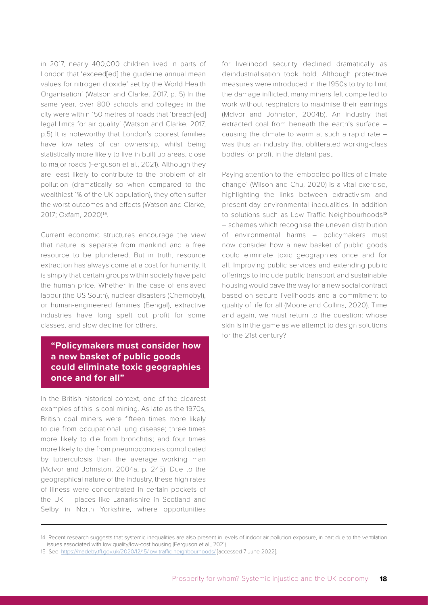in 2017, nearly 400,000 children lived in parts of London that 'exceed[ed] the guideline annual mean values for nitrogen dioxide' set by the World Health Organisation' (Watson and Clarke, 2017, p. 5) In the same year, over 800 schools and colleges in the city were within 150 metres of roads that 'breach[ed] legal limits for air quality' (Watson and Clarke, 2017, p.5) It is noteworthy that London's poorest families have low rates of car ownership, whilst being statistically more likely to live in built up areas, close to major roads (Ferguson et al., 2021). Although they are least likely to contribute to the problem of air pollution (dramatically so when compared to the wealthiest 1% of the UK population), they often suffer the worst outcomes and effects (Watson and Clarke, 2017; Oxfam, 2020)14.

Current economic structures encourage the view that nature is separate from mankind and a free resource to be plundered. But in truth, resource extraction has always come at a cost for humanity. It is simply that certain groups within society have paid the human price. Whether in the case of enslaved labour (the US South), nuclear disasters (Chernobyl), or human-engineered famines (Bengal), extractive industries have long spelt out profit for some classes, and slow decline for others.

#### **"Policymakers must consider how a new basket of public goods could eliminate toxic geographies once and for all"**

In the British historical context, one of the clearest examples of this is coal mining. As late as the 1970s, British coal miners were fifteen times more likely to die from occupational lung disease; three times more likely to die from bronchitis; and four times more likely to die from pneumoconiosis complicated by tuberculosis than the average working man (McIvor and Johnston, 2004a, p. 245). Due to the geographical nature of the industry, these high rates of illness were concentrated in certain pockets of the UK – places like Lanarkshire in Scotland and Selby in North Yorkshire, where opportunities

for livelihood security declined dramatically as deindustrialisation took hold. Although protective measures were introduced in the 1950s to try to limit the damage inflicted, many miners felt compelled to work without respirators to maximise their earnings (McIvor and Johnston, 2004b). An industry that extracted coal from beneath the earth's surface – causing the climate to warm at such a rapid rate – was thus an industry that obliterated working-class bodies for profit in the distant past.

Paying attention to the 'embodied politics of climate change' (Wilson and Chu, 2020) is a vital exercise, highlighting the links between extractivism and present-day environmental inequalities. In addition to solutions such as Low Traffic Neighbourhoods<sup>15</sup> – schemes which recognise the uneven distribution of environmental harms – policymakers must now consider how a new basket of public goods could eliminate toxic geographies once and for all. Improving public services and extending public offerings to include public transport and sustainable housing would pave the way for a new social contract based on secure livelihoods and a commitment to quality of life for all (Moore and Collins, 2020). Time and again, we must return to the question: whose skin is in the game as we attempt to design solutions for the 21st century?

<sup>14</sup> Recent research suggests that systemic inequalities are also present in levels of indoor air pollution exposure, in part due to the ventilation issues associated with low quality/low-cost housing (Ferguson et al., 2021).

<sup>15</sup> See:<https://madeby.tfl.gov.uk/2020/12/15/low-traffic-neighbourhoods/> [accessed 7 June 2022].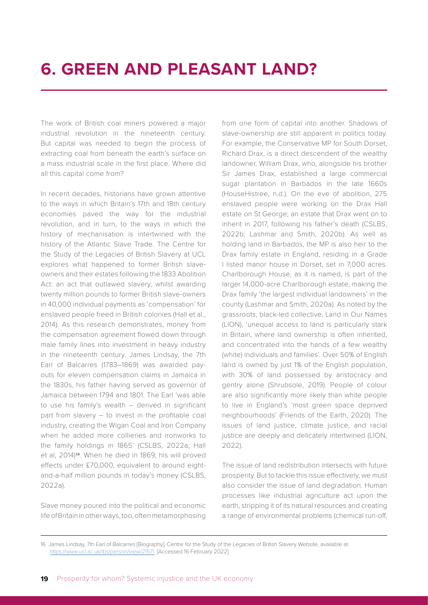### <span id="page-17-0"></span>**6. GREEN AND PLEASANT LAND?**

The work of British coal miners powered a major industrial revolution in the nineteenth century. But capital was needed to begin the process of extracting coal from beneath the earth's surface on a mass industrial scale in the first place. Where did all this capital come from?

In recent decades, historians have grown attentive to the ways in which Britain's 17th and 18th century economies paved the way for the industrial revolution, and in turn, to the ways in which the history of mechanisation is intertwined with the history of the Atlantic Slave Trade. The Centre for the Study of the Legacies of British Slavery at UCL explores what happened to former British slaveowners and their estates following the 1833 Abolition Act: an act that outlawed slavery, whilst awarding twenty million pounds to former British slave-owners in 40,000 individual payments as 'compensation' for enslaved people freed in British colonies (Hall et al., 2014). As this research demonstrates, money from the compensation agreement flowed down through male family lines into investment in heavy industry in the nineteenth century. James Lindsay, the 7th Earl of Balcarres (1783–1869) was awarded payouts for eleven compensation claims in Jamaica in the 1830s, his father having served as governor of Jamaica between 1794 and 1801. The Earl 'was able to use his family's wealth – derived in significant part from slavery – to invest in the profitable coal industry, creating the Wigan Coal and Iron Company when he added more collieries and ironworks to the family holdings in 1865' (CSLBS, 2022a; Hall et al, 2014)16. When he died in 1869, his will proved effects under £70,000, equivalent to around eightand-a-half million pounds in today's money (CSLBS, 2022a).

Slave money poured into the political and economic life of Britain in other ways, too, often metamorphosing

from one form of capital into another. Shadows of slave-ownership are still apparent in politics today. For example, the Conservative MP for South Dorset, Richard Drax, is a direct descendent of the wealthy landowner, William Drax, who, alongside his brother Sir James Drax, established a large commercial sugar plantation in Barbados in the late 1660s (HouseHistree, n.d.). On the eve of abolition, 275 enslaved people were working on the Drax Hall estate on St George; an estate that Drax went on to inherit in 2017, following his father's death (CSLBS, 2022b; Lashmar and Smith, 2020b). As well as holding land in Barbados, the MP is also heir to the Drax family estate in England, residing in a Grade I listed manor house in Dorset, set in 7,000 acres. Charlborough House, as it is named, is part of the larger 14,000-acre Charlborough estate, making the Drax family 'the largest individual landowners' in the county (Lashmar and Smith, 2020a). As noted by the grassroots, black-led collective, Land in Our Names (LION), 'unequal access to land is particularly stark in Britain, where land ownership is often inherited, and concentrated into the hands of a few wealthy (white) individuals and families'. Over 50% of English land is owned by just 1% of the English population, with 30% of land possessed by aristocracy and gentry alone (Shrubsole, 2019). People of colour are also significantly more likely than white people to live in England's 'most green space deprived neighbourhoods' (Friends of the Earth, 2020). The issues of land justice, climate justice, and racial justice are deeply and delicately intertwined (LION, 2022).

The issue of land redistribution intersects with future prosperity. But to tackle this issue effectively, we must also consider the issue of land degradation. Human processes like industrial agriculture act upon the earth, stripping it of its natural resources and creating a range of environmental problems (chemical run-off,

<sup>16</sup> James Lindsay, 7th Earl of Balcarres [Biography], Centre for the Study of the Legacies of British Slavery Website, available at: [https://www.ucl.ac.uk/lbs/person/view/21571.](https://www.ucl.ac.uk/lbs/person/view/21571) [Accessed 16 February 2022].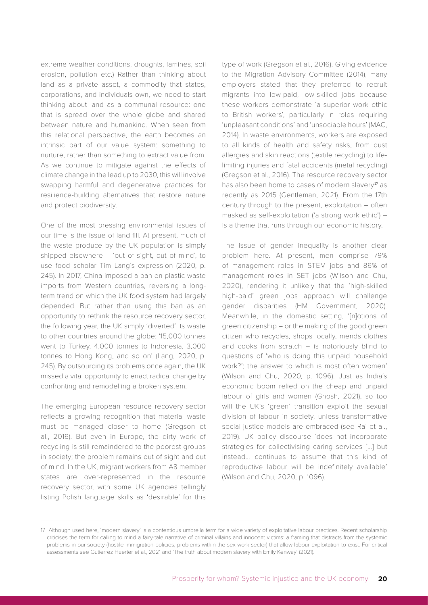extreme weather conditions, droughts, famines, soil erosion, pollution etc.) Rather than thinking about land as a private asset, a commodity that states, corporations, and individuals own, we need to start thinking about land as a communal resource: one that is spread over the whole globe and shared between nature and humankind. When seen from this relational perspective, the earth becomes an intrinsic part of our value system: something to nurture, rather than something to extract value from. As we continue to mitigate against the effects of climate change in the lead up to 2030, this will involve swapping harmful and degenerative practices for resilience-building alternatives that restore nature and protect biodiversity.

One of the most pressing environmental issues of our time is the issue of land fill. At present, much of the waste produce by the UK population is simply shipped elsewhere – 'out of sight, out of mind', to use food scholar Tim Lang's expression (2020, p. 245). In 2017, China imposed a ban on plastic waste imports from Western countries, reversing a longterm trend on which the UK food system had largely depended. But rather than using this ban as an opportunity to rethink the resource recovery sector, the following year, the UK simply 'diverted' its waste to other countries around the globe: '15,000 tonnes went to Turkey, 4,000 tonnes to Indonesia, 3,000 tonnes to Hong Kong, and so on' (Lang, 2020, p. 245). By outsourcing its problems once again, the UK missed a vital opportunity to enact radical change by confronting and remodelling a broken system.

The emerging European resource recovery sector reflects a growing recognition that material waste must be managed closer to home (Gregson et al., 2016). But even in Europe, the dirty work of recycling is still remaindered to the poorest groups in society; the problem remains out of sight and out of mind. In the UK, migrant workers from A8 member states are over-represented in the resource recovery sector, with some UK agencies tellingly listing Polish language skills as 'desirable' for this type of work (Gregson et al., 2016). Giving evidence to the Migration Advisory Committee (2014), many employers stated that they preferred to recruit migrants into low-paid, low-skilled jobs because these workers demonstrate 'a superior work ethic to British workers', particularly in roles requiring 'unpleasant conditions' and 'unsociable hours' (MAC, 2014). In waste environments, workers are exposed to all kinds of health and safety risks, from dust allergies and skin reactions (textile recycling) to lifelimiting injuries and fatal accidents (metal recycling) (Gregson et al., 2016). The resource recovery sector has also been home to cases of modern slavery<sup>17</sup> as recently as 2015 (Gentleman, 2021). From the 17th century through to the present, exploitation – often masked as self-exploitation ('a strong work ethic') – is a theme that runs through our economic history.

The issue of gender inequality is another clear problem here. At present, men comprise 79% of management roles in STEM jobs and 86% of management roles in SET jobs (Wilson and Chu, 2020), rendering it unlikely that the 'high-skilled high-paid' green jobs approach will challenge gender disparities (HM Government, 2020). Meanwhile, in the domestic setting, '[n]otions of green citizenship – or the making of the good green citizen who recycles, shops locally, mends clothes and cooks from scratch – is notoriously blind to questions of 'who is doing this unpaid household work?'; the answer to which is most often women' (Wilson and Chu, 2020, p. 1096). Just as India's economic boom relied on the cheap and unpaid labour of girls and women (Ghosh, 2021), so too will the UK's 'green' transition exploit the sexual division of labour in society, unless transformative social justice models are embraced (see Rai et al., 2019). UK policy discourse 'does not incorporate strategies for collectivising caring services […] but instead… continues to assume that this kind of reproductive labour will be indefinitely available' (Wilson and Chu, 2020, p. 1096).

<sup>17</sup> Although used here, 'modern slavery' is a contentious umbrella term for a wide variety of exploitative labour practices. Recent scholarship criticises the term for calling to mind a fairy-tale narrative of criminal villains and innocent victims: a framing that distracts from the systemic problems in our society (hostile immigration policies, problems within the sex work sector) that allow labour exploitation to exist. For critical assessments see Gutierrez Huerter et al., 2021 and 'The truth about modern slavery with Emily Kenway' (2021).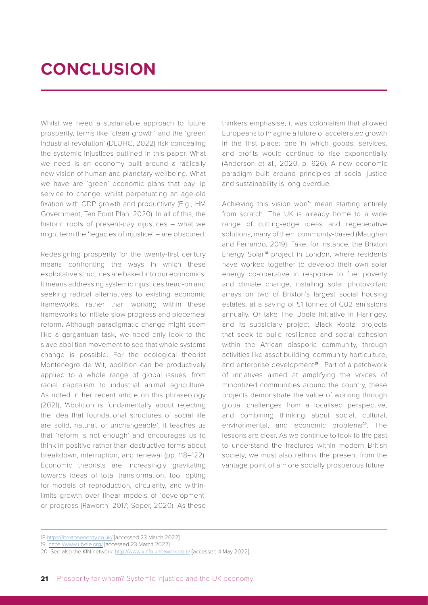## <span id="page-19-0"></span>**CONCLUSION**

Whilst we need a sustainable approach to future prosperity, terms like 'clean growth' and the 'green industrial revolution' (DLUHC, 2022) risk concealing the systemic injustices outlined in this paper. What we need is an economy built around a radically new vision of human and planetary wellbeing. What we have are 'green' economic plans that pay lip service to change, whilst perpetuating an age-old fixation with GDP growth and productivity (E.g., HM Government, Ten Point Plan, 2020). In all of this, the historic roots of present-day injustices – what we might term the 'legacies of injustice' – are obscured.

Redesigning prosperity for the twenty-first century means confronting the ways in which these exploitative structures are baked into our economics. It means addressing systemic injustices head-on and seeking radical alternatives to existing economic frameworks, rather than working within these frameworks to initiate slow progress and piecemeal reform. Although paradigmatic change might seem like a gargantuan task, we need only look to the slave abolition movement to see that whole systems change is possible. For the ecological theorist Montenegro de Wit, abolition can be productively applied to a whole range of global issues, from racial capitalism to industrial animal agriculture. As noted in her recent article on this phraseology (2021), 'Abolition is fundamentally about rejecting the idea that foundational structures of social life are solid, natural, or unchangeable'; it teaches us that 'reform is not enough' and encourages us to think in positive rather than destructive terms about breakdown, interruption, and renewal (pp. 118–122). Economic theorists are increasingly gravitating towards ideas of total transformation, too, opting for models of reproduction, circularity, and withinlimits growth over linear models of 'development' or progress (Raworth, 2017; Soper, 2020). As these

thinkers emphasise, it was colonialism that allowed Europeans to imagine a future of accelerated growth in the first place: one in which goods, services, and profits would continue to rise exponentially (Anderson et al., 2020, p. 626). A new economic paradigm built around principles of social justice and sustainability is long overdue.

Achieving this vision won't mean starting entirely from scratch. The UK is already home to a wide range of cutting-edge ideas and regenerative solutions, many of them community-based (Maughan and Ferrando, 2019). Take, for instance, the Brixton Energy Solar<sup>18</sup> project in London, where residents have worked together to develop their own solar energy co-operative in response to fuel poverty and climate change, installing solar photovoltaic arrays on two of Brixton's largest social housing estates, at a saving of 51 tonnes of C02 emissions annually. Or take The Ubele Initiative in Haringey, and its subsidiary project, Black Rootz: projects that seek to build resilience and social cohesion within the African diasporic community, through activities like asset building, community horticulture, and enterprise development<sup>19</sup>. Part of a patchwork of initiatives aimed at amplifying the voices of minoritized communities around the country, these projects demonstrate the value of working through global challenges from a localised perspective, and combining thinking about social, cultural, environmental, and economic problems<sup>20</sup>. The lessons are clear. As we continue to look to the past to understand the fractures within modern British society, we must also rethink the present from the vantage point of a more socially prosperous future.

<sup>18</sup><https://brixtonenergy.co.uk/>[accessed 23 March 2022].

<sup>19</sup> <https://www.ubele.org/>[accessed 23 March 2022].

<sup>20</sup> See also the KIN network:<http://www.kinfolknetwork.com/>[accessed 4 May 2022].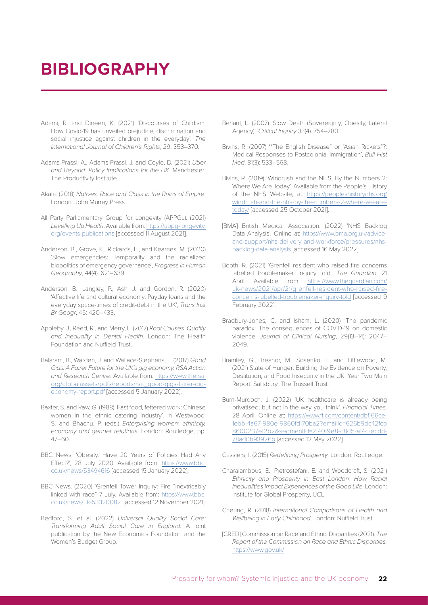#### <span id="page-20-0"></span>**BIBLIOGRAPHY**

- Adami, R. and Dineen, K. (2021) 'Discourses of Childism: How Covid-19 has unveiled prejudice, discrimination and social injustice against children in the everyday'. *The International Journal of Children's Rights*, 29: 353–370.
- Adams-Prassl, A., Adams-Prassl, J. and Coyle, D. (2021) *Uber and Beyond: Policy Implications for the UK*. Manchester: The Productivity Institute.
- Akala. (2018) *Natives: Race and Class in the Ruins of Empire*. London: John Murray Press.
- All Party Parliamentary Group for Longevity (APPGL). (2021) *Levelling Up Health*. Available from: [https://appg-longevity.](https://appg-longevity.org/events-publications) [org/events-publications](https://appg-longevity.org/events-publications) [accessed 11 August 2021].
- Anderson, B., Grove, K., Rickards, L., and Kearnes, M. (2020) 'Slow emergencies: Temporality and the racialized biopolitics of emergency governance', *Progress in Human Geography*, 44(4): 621–639.
- Anderson, B., Langley, P., Ash, J. and Gordon, R. (2020) 'Affective life and cultural economy: Payday loans and the everyday space-times of credit-debt in the UK', *Trans Inst Br Geogr*, 45: 420–433.
- Appleby, J., Reed, R., and Merry, L. (2017) *Root Causes: Quality and Inequality in Dental Health*. London: The Health Foundation and Nuffield Trust.
- Balaram, B., Warden, J. and Wallace-Stephens, F. (2017) *Good*  Gigs: A Fairer Future for the UK's gig economy. RSA Action *and Research Centre*. Available from: [https://www.thersa.](https://www.thersa.org/globalassets/pdfs/reports/rsa_good-gigs-fairer-gig-economy-report.pdf) [org/globalassets/pdfs/reports/rsa\\_good-gigs-fairer-gig](https://www.thersa.org/globalassets/pdfs/reports/rsa_good-gigs-fairer-gig-economy-report.pdf)[economy-report.pdf](https://www.thersa.org/globalassets/pdfs/reports/rsa_good-gigs-fairer-gig-economy-report.pdf) [accessed 5 January 2022].
- Baxter, S. and Raw, G. (1988) 'Fast food, fettered work: Chinese women in the ethnic catering industry', in Westwood, S. and Bhachu, P. (eds.) *Enterprising women: ethnicity, economy and gender relations*. London: Routledge, pp. 47–60.
- BBC News, 'Obesity: Have 20 Years of Policies Had Any Effect?', 28 July 2020. Available from: [https://www.bbc.](https://www.bbc.co.uk/news/53494616) [co.uk/news/53494616](https://www.bbc.co.uk/news/53494616) [accessed 15 January 2022].
- BBC News. (2020) 'Grenfell Tower Inquiry: Fire "inextricably linked with race" 7 July. Available from: [https://www.bbc.](https://www.bbc.co.uk/news/uk-53320082) [co.uk/news/uk-53320082](https://www.bbc.co.uk/news/uk-53320082) [accessed 12 November 2021].
- Bedford, S. et al. (2022) *Universal Quality Social Care: Transforming Adult Social Care in England.* A joint publication by the New Economics Foundation and the Women's Budget Group.
- Berlant, L. (2007) 'Slow Death (Sovereignty, Obesity, Lateral Agency)', *Critical Inquiry* 33(4): 754–780.
- Bivins, R. (2007) '"The English Disease" or "Asian Rickets"?: Medical Responses to Postcolonial Immigration', *Bull Hist Med*, 81(3): 533–568.
- Bivins, R. (2019) 'Windrush and the NHS, By the Numbers 2: Where We Are Today'. Available from the People's History of the NHS Website, at: [https://peopleshistorynhs.org/](https://peopleshistorynhs.org/windrush-and-the-nhs-by-the-numbers-2-where-we-are-today/) [windrush-and-the-nhs-by-the-numbers-2-where-we-are](https://peopleshistorynhs.org/windrush-and-the-nhs-by-the-numbers-2-where-we-are-today/)[today/](https://peopleshistorynhs.org/windrush-and-the-nhs-by-the-numbers-2-where-we-are-today/) [accessed 25 October 2021].
- [BMA] British Medical Association. (2022) 'NHS Backlog Data Analysis'. Online at: [https://www.bma.org.uk/advice](https://www.bma.org.uk/advice-and-support/nhs-delivery-and-workforce/pressures/nhs-backlog-data-anal)[and-support/nhs-delivery-and-workforce/pressures/nhs](https://www.bma.org.uk/advice-and-support/nhs-delivery-and-workforce/pressures/nhs-backlog-data-anal)[backlog-data-analysis](https://www.bma.org.uk/advice-and-support/nhs-delivery-and-workforce/pressures/nhs-backlog-data-anal) [accessed 16 May 2022]
- Booth, R. (2021) 'Grenfell resident who raised fire concerns labelled troublemaker, inquiry told', *The Guardian*, 21 April. Available from: [https://www.theguardian.com/](https://www.theguardian.com/uk-news/2021/apr/21/grenfell-resident-who-raised-fire-concerns-labelled-) [uk-news/2021/apr/21/grenfell-resident-who-raised-fire](https://www.theguardian.com/uk-news/2021/apr/21/grenfell-resident-who-raised-fire-concerns-labelled-)[concerns-labelled-troublemaker-inquiry-told](https://www.theguardian.com/uk-news/2021/apr/21/grenfell-resident-who-raised-fire-concerns-labelled-) [accessed 9 February 2022].
- Bradbury-Jones, C. and Isham, L. (2020) 'The pandemic paradox: The consequences of COVID-19 on domestic violence. *Journal of Clinical Nursing*, 29(13–14): 2047– 2049.
- Bramley, G., Treanor, M., Sosenko, F. and Littlewood, M. (2021) State of Hunger: Building the Evidence on Poverty, Destitution, and Food Insecurity in the UK. Year Two Main Report. Salisbury: The Trussell Trust.
- Burn-Murdoch. J. (2022) 'UK healthcare is already being privatised, but not in the way you think'. *Financial Times,*  28 April. Online at: [https://www.ft.com/content/dbf166ce-](https://www.ft.com/content/dbf166ce-1ebb-4a67-980e-9860fd170ba2?emailId=626b9dc42fcb8600237ef2b2&seg)[1ebb-4a67-980e-9860fd170ba2?emailId=626b9dc42fcb](https://www.ft.com/content/dbf166ce-1ebb-4a67-980e-9860fd170ba2?emailId=626b9dc42fcb8600237ef2b2&seg) [8600237ef2b2&segmentId=2f40f9e8-c8d5-af4c-ecdd-](https://www.ft.com/content/dbf166ce-1ebb-4a67-980e-9860fd170ba2?emailId=626b9dc42fcb8600237ef2b2&seg)[78ad0b93926b](https://www.ft.com/content/dbf166ce-1ebb-4a67-980e-9860fd170ba2?emailId=626b9dc42fcb8600237ef2b2&seg) [accessed 12 May 2022].
- Cassiers, I. (2015) *Redefining Prosperity*. London: Routledge.
- Charalambous, E., Pietrostefani, E. and Woodcraft, S. (2021) *Ethnicity and Prosperity in East London: How Racial Inequalities Impact Experiences of the Good Life*. London: Institute for Global Prosperity, UCL.
- Cheung, R. (2018) *International Comparisons of Health and Wellbeing in Early Childhood*. London: Nuffield Trust.
- [CRED] Commission on Race and Ethnic Disparities (2021). *The Report of the Commission on Race and Ethnic Disparities.*  <https://www.gov.uk/>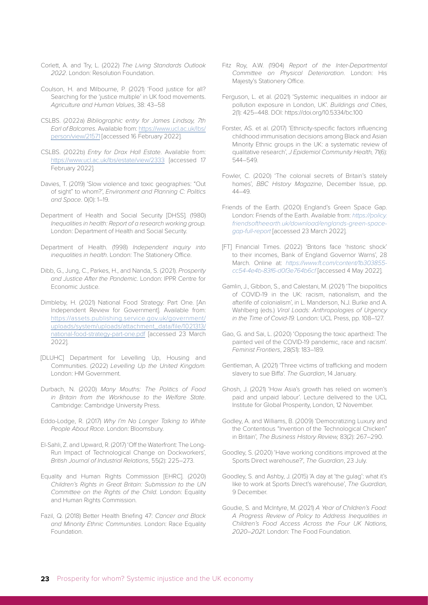- Corlett, A. and Try, L. (2022) *The Living Standards Outlook 2022*. London: Resolution Foundation.
- Coulson, H. and Milbourne, P. (2021) 'Food justice for all? Searching for the 'justice multiple' in UK food movements. *Agriculture and Human Values*, 38: 43–58
- CSLBS. (2022a) *Bibliographic entry for James Lindsay, 7th Earl of Balcarres*. Available from: [https://www.ucl.ac.uk/lbs/](https://www.ucl.ac.uk/lbs/person/view/21571) [person/view/21571](https://www.ucl.ac.uk/lbs/person/view/21571) [accessed 16 February 2022].
- CSLBS. (2022b) *Entry for Drax Hall Estate*. Available from: <https://www.ucl.ac.uk/lbs/estate/view/2333>[accessed 17 February 2022].
- Davies, T. (2019) 'Slow violence and toxic geographies: "Out of sight" to whom?', *Environment and Planning C: Politics and Space*. 0(0): 1–19.
- Department of Health and Social Security [DHSS]. (1980) *Inequalities in health: Report of a research working group.*  London: Department of Health and Social Security.
- Department of Health. (1998) *Independent inquiry into inequalities in health*. London: The Stationery Office.
- Dibb, G., Jung, C., Parkes, H., and Nanda, S. (2021). *Prosperity and Justice After the Pandemic*. London: IPPR Centre for Economic Justice.
- Dimbleby, H. (2021) National Food Strategy: Part One. [An Independent Review for Government]. Available from: [https://assets.publishing.service.gov.uk/government/](https://assets.publishing.service.gov.uk/government/uploads/system/uploads/attachment_data/file/1021) [uploads/system/uploads/attachment\\_data/file/1021313/](https://assets.publishing.service.gov.uk/government/uploads/system/uploads/attachment_data/file/1021) [national-food-strategy-part-one.pdf](https://assets.publishing.service.gov.uk/government/uploads/system/uploads/attachment_data/file/1021) [accessed 23 March 2022].
- [DLUHC] Department for Levelling Up, Housing and Communities. (2022) *Levelling Up the United Kingdom.* London: HM Government.
- Durbach, N. (2020) *Many Mouths: The Politics of Food in Britain from the Workhouse to the Welfare State*. Cambridge: Cambridge University Press.
- Eddo-Lodge, R. (2017) *Why I'm No Longer Talking to White People About Race*. London: Bloomsbury.
- El-Sahli, Z. and Upward, R. (2017) 'Off the Waterfront: The Long-Run Impact of Technological Change on Dockworkers', *British Journal of Industrial Relations*, 55(2): 225–273.
- Equality and Human Rights Commission [EHRC]. (2020) *Children's Rights in Great Britain: Submission to the UN Committee on the Rights of the Child*. London: Equality and Human Rights Commission.
- Fazil, Q. (2018) Better Health Briefing 47: *Cancer and Black and Minority Ethnic Communities*. London: Race Equality Foundation.
- Fitz Roy, A.W. (1904) *Report of the Inter-Departmental Committee on Physical Deterioration*. London: His Majesty's Stationery Office.
- Ferguson, L. et al. (2021) 'Systemic inequalities in indoor air pollution exposure in London, UK'. *Buildings and Cities*, 2(1): 425–448. DOI: https://doi.org/10.5334/bc.100
- Forster, AS. et al. (2017) 'Ethnicity-specific factors influencing childhood immunisation decisions among Black and Asian Minority Ethnic groups in the UK: a systematic review of qualitative research', *J Epidemiol Community Health,* 71(6): 544–549.
- Fowler, C. (2020) 'The colonial secrets of Britain's stately homes', *BBC History Magazine*, December Issue, pp. 44–49.
- Friends of the Earth. (2020) England's Green Space Gap. London: Friends of the Earth. Available from: *[https://policy.](https://policy.friendsoftheearth.uk/download/englands-green-space-gap-full-report) [friendsoftheearth.uk/download/englands-green-space](https://policy.friendsoftheearth.uk/download/englands-green-space-gap-full-report)[gap-full-report](https://policy.friendsoftheearth.uk/download/englands-green-space-gap-full-report)* [accessed 23 March 2022].
- [FT] Financial Times. (2022) 'Britons face 'historic shock' to their incomes, Bank of England Governor Warns', 28 March. Online at: *[https://www.ft.com/content/1b303855](https://www.ft.com/content/1b303855-cc54-4e4b-83f6-d0f3e764b6cf) [cc54-4e4b-83f6-d0f3e764b6cf](https://www.ft.com/content/1b303855-cc54-4e4b-83f6-d0f3e764b6cf)* [accessed 4 May 2022].
- Gamlin, J., Gibbon, S., and Calestani, M. (2021) 'The biopolitics of COVID-19 in the UK: racism, nationalism, and the afterlife of colonialism', in L. Manderson, N.J. Burke and A. Wahlberg (eds.) *Viral Loads: Anthropologies of Urgency in the Time of Covid-19.* London: UCL Press, pp. 108–127.
- Gao, G. and Sai, L. (2020) 'Opposing the toxic apartheid: The painted veil of the COVID-19 pandemic, race and racism'. *Feminist Frontiers*, 28(S1): 183–189.
- Gentleman, A. (2021) 'Three victims of trafficking and modern slavery to sue Biffa'. *The Guardian*, 14 January.
- Ghosh, J. (2021) 'How Asia's growth has relied on women's paid and unpaid labour'. Lecture delivered to the UCL Institute for Global Prosperity, London, 12 November.
- Godley, A. and Williams, B. (2009) 'Democratizing Luxury and the Contentious "Invention of the Technological Chicken" in Britain', *The Business History Review,* 83(2): 267–290.
- Goodley, S. (2020) 'Have working conditions improved at the Sports Direct warehouse?', *The Guardian*, 23 July.
- Goodley, S. and Ashby, J. (2015) 'A day at 'the gulag': what it's like to work at Sports Direct's warehouse', *The Guardian,*  9 December.
- Goudie, S. and McIntyre, M. (2021) *A Year of Children's Food: A Progress Review of Policy to Address Inequalities in Children's Food Access Across the Four UK Nations, 2020–2021*. London: The Food Foundation.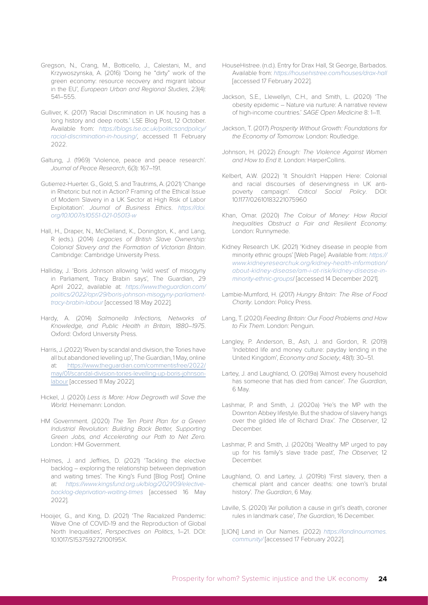- Gregson, N., Crang, M., Botticello, J., Calestani, M., and Krzywoszynska, A. (2016) 'Doing he "dirty" work of the green economy: resource recovery and migrant labour in the EU', *European Urban and Regional Studies*, 23(4): 541–555.
- Gulliver, K. (2017) 'Racial Discrimination in UK housing has a long history and deep roots.' LSE Blog Post, 12 October. Available from: *[https://blogs.lse.ac.uk/politicsandpolicy/](https://blogs.lse.ac.uk/politicsandpolicy/racial-discrimination-in-housing/) [racial-discrimination-in-housing/](https://blogs.lse.ac.uk/politicsandpolicy/racial-discrimination-in-housing/)*, accessed 11 February 2022.
- Galtung, J. (1969) 'Violence, peace and peace research'. *Journal of Peace Research*, 6(3): 167–191.
- Gutierrez-Huerter. G., Gold, S. and Trautrims, A. (2021) 'Change in Rhetoric but not in Action? Framing of the Ethical Issue of Modern Slavery in a UK Sector at High Risk of Labor Exploitation'. *Journal of Business Ethics*. *[https://doi.](https://doi.org/10.1007/s10551-021-05013-w) [org/10.1007/s10551-021-05013-w](https://doi.org/10.1007/s10551-021-05013-w)*
- Hall, H., Draper, N., McClelland, K., Donington, K., and Lang, R (eds.). (2014) *Legacies of British Slave Ownership: Colonial Slavery and the Formation of Victorian Britain*. Cambridge: Cambridge University Press.
- Halliday, J. 'Boris Johnson allowing 'wild west' of misogyny in Parliament, Tracy Brabin says', The Guardian, 29 April 2022, available at: *[https://www.theguardian.com/](https://www.theguardian.com/politics/2022/apr/29/boris-johnson-misogyny-parliament-tracy-brabin-labo) [politics/2022/apr/29/boris-johnson-misogyny-parliament](https://www.theguardian.com/politics/2022/apr/29/boris-johnson-misogyny-parliament-tracy-brabin-labo)[tracy-brabin-labour](https://www.theguardian.com/politics/2022/apr/29/boris-johnson-misogyny-parliament-tracy-brabin-labo)* [accessed 18 May 2022].
- Hardy, A. (2014) *Salmonella Infections, Networks of Knowledge, and Public Health in Britain, 1880–1975*. Oxford: Oxford University Press.
- Harris, J. (2022) 'Riven by scandal and division, the Tories have all but abandoned levelling up', The Guardian, 1 May, online at: [https://www.theguardian.com/commentisfree/2022/](https://www.theguardian.com/commentisfree/2022/may/01/scandal-division-tories-levelling-up-boris-joh) [may/01/scandal-division-tories-levelling-up-boris-johnson](https://www.theguardian.com/commentisfree/2022/may/01/scandal-division-tories-levelling-up-boris-joh)[labour](https://www.theguardian.com/commentisfree/2022/may/01/scandal-division-tories-levelling-up-boris-joh) [accessed 11 May 2022].
- Hickel, J. (2020) *Less is More: How Degrowth will Save the World.* Heinemann: London.
- HM Government. (2020) *The Ten Point Plan for a Green Industrial Revolution: Building Back Better, Supporting Green Jobs, and Accelerating our Path to Net Zero.*  London: HM Government.
- Holmes, J. and Jeffries, D. (2021) 'Tackling the elective backlog – exploring the relationship between deprivation and waiting times'. The King's Fund [Blog Post]. Online at: *[https://www.kingsfund.org.uk/blog/2021/09/elective](https://www.kingsfund.org.uk/blog/2021/09/elective-backlog-deprivation-waiting-times)[backlog-deprivation-waiting-times](https://www.kingsfund.org.uk/blog/2021/09/elective-backlog-deprivation-waiting-times)* [accessed 16 May 2022].
- Hooijer, G., and King, D. (2021) 'The Racialized Pandemic: Wave One of COVID-19 and the Reproduction of Global North Inequalities', *Perspectives on Politics*, 1–21. DOI: 10.1017/S153759272100195X.
- HouseHistree. (n.d.). Entry for Drax Hall, St George, Barbados. Available from: *[https://househistree.com/houses/drax-hall](https://househistree.com/houses/drax-hall )*  [accessed 17 February 2022].
- Jackson, S.E., Llewellyn, C.H., and Smith, L. (2020) 'The obesity epidemic – Nature via nurture: A narrative review of high-income countries.' *SAGE Open Medicine* 8: 1–11.
- Jackson, T. (2017) *Prosperity Without Growth: Foundations for the Economy of Tomorrow.* London: Routledge.
- Johnson, H. (2022) *Enough: The Violence Against Women and How to End It*. London: HarperCollins.
- Kelbert, A.W. (2022) 'It Shouldn't Happen Here: Colonial and racial discourses of deservingness in UK antipoverty campaign'. *Critical Social Policy*. DOI: 10.1177/02610183221075960
- Khan, Omar. (2020) *The Colour of Money: How Racial Inequalities Obstruct a Fair and Resilient Economy.*  London: Runnymede.
- Kidney Research UK. (2021) 'Kidney disease in people from minority ethnic groups' [Web Page]. Available from: *[https://](https://www.kidneyresearchuk.org/kidney-health-information/about-kidney-disease/am-i-at-risk/kidney-) [www.kidneyresearchuk.org/kidney-health-information/](https://www.kidneyresearchuk.org/kidney-health-information/about-kidney-disease/am-i-at-risk/kidney-) [about-kidney-disease/am-i-at-risk/kidney-disease-in](https://www.kidneyresearchuk.org/kidney-health-information/about-kidney-disease/am-i-at-risk/kidney-)[minority-ethnic-groups](https://www.kidneyresearchuk.org/kidney-health-information/about-kidney-disease/am-i-at-risk/kidney-)*/ [accessed 14 December 2021].
- Lambie-Mumford, H. (2017) *Hungry Britain: The Rise of Food Charity*. London: Policy Press.
- Lang, T. (2020) *Feeding Britain: Our Food Problems and How to Fix Them*. London: Penguin.
- Langley, P. Anderson, B., Ash, J. and Gordon, R. (2019) 'Indebted life and money culture: payday lending in the United Kingdom', *Economy and Society*, 48(1): 30–51.
- Lartey, J. and Laughland, O. (2019a) 'Almost every household has someone that has died from cancer'. *The Guardian*, 6 May.
- Lashmar, P. and Smith, J. (2020a) 'He's the MP with the Downton Abbey lifestyle. But the shadow of slavery hangs over the gilded life of Richard Drax'. *The Observer*, 12 December.
- Lashmar, P. and Smith, J. (2020b) 'Wealthy MP urged to pay up for his family's slave trade past', *The Observer,* 12 December.
- Laughland, O. and Lartey, J. (2019b) 'First slavery, then a chemical plant and cancer deaths: one town's brutal history'. *The Guardian*, 6 May.
- Laville, S. (2020) 'Air pollution a cause in girl's death, coroner rules in landmark case', *The Guardian*, 16 December.
- [LION] Land in Our Names. (2022) *[https://landinournames.](https://landinournames.community/) [community/](https://landinournames.community/)* [accessed 17 February 2022].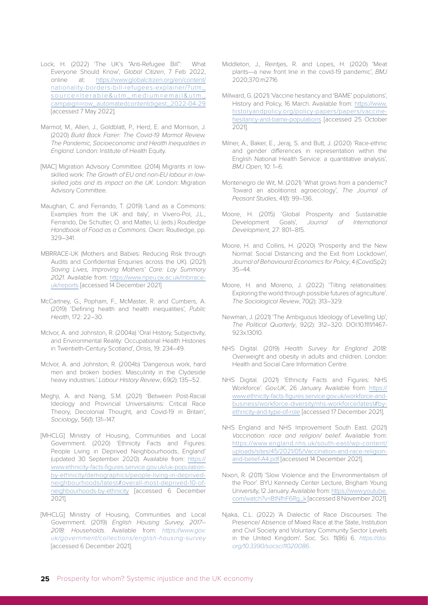- Lock, H. (2022) 'The UK's "Anti-Refugee Bill": What Everyone Should Know', *Global Citizen*, 7 Feb 2022, online at: [https://www.globalcitizen.org/en/content/](https://www.globalcitizen.org/en/content/nationality-borders-bill-refugees-explainer/?utm_source=Ite) [nationality-borders-bill-refugees-explainer/?utm\\_](https://www.globalcitizen.org/en/content/nationality-borders-bill-refugees-explainer/?utm_source=Ite) [source=Iterable&utm\\_medium=email&utm\\_](https://www.globalcitizen.org/en/content/nationality-borders-bill-refugees-explainer/?utm_source=Ite) [campaign=row\\_automatedcontentdigest\\_2022-04-29](https://www.globalcitizen.org/en/content/nationality-borders-bill-refugees-explainer/?utm_source=Ite) [accessed 7 May 2022].
- Marmot, M., Allen, J., Goldblatt, P., Herd, E. and Morrison, J. (2020) *Build Back Fairer: The Covid-19 Marmot Review. The Pandemic, Socioeconomic and Health Inequalities in England*. London: Institute of Health Equity.
- [MAC] Migration Advisory Committee. (2014) Migrants in lowskilled work: *The Growth of EU and non-EU labour in lowskilled jobs and its impact on the UK*. London: Migration Advisory Committee.
- Maughan, C. and Ferrando, T. (2019) 'Land as a Commons: Examples from the UK and Italy', in Vivero-Pol, J.L., Ferrando, De Schutter, O. and Mattei, U. (eds.) R*outledge Handbook of Food as a Commons*. Oxon: Routledge, pp. 329–341.
- MBRRACE-UK (Mothers and Babies: Reducing Risk through Audits and Confidential Enquiries across the UK). (2021) *Saving Lives, Improving Mothers' Care: Lay Summary 2021*. Available from: [https://www.npeu.ox.ac.uk/mbrrace](https://www.npeu.ox.ac.uk/mbrrace-uk/reports)[uk/reports](https://www.npeu.ox.ac.uk/mbrrace-uk/reports) [accessed 14 December 2021]
- McCartney, G., Popham, F., McMaster, R. and Cumbers, A. (2019) 'Defining health and health inequalities', *Public Health*, 172: 22–30.
- McIvor, A. and Johnston, R. (2004a) 'Oral History, Subjectivity, and Environmental Reality: Occupational Health Histories in Twentieth-Century Scotland', *Orisis,* 19: 234–49.
- McIvor, A. and Johnston, R. (2004b) 'Dangerous work, hard men and broken bodies: Masculinity in the Clydeside heavy industries.' *Labour History Review*, 69(2): 135–52.
- Meghji, A. and Niang, S.M. (2021) 'Between Post-Racial Ideology and Provincial Universalisms: Critical Race Theory, Decolonial Thought, and Covid-19 in Britain', *Sociology*, 56(1): 131–147.
- [MHCLG] Ministry of Housing, Communities and Local Government. (2020) 'Ethnicity Facts and Figures: People Living in Deprived Neighbourhoods, England' (updated 30 September 2020). Available from: [https://](https://www.ethnicity-facts-figures.service.gov.uk/uk-population-by-ethnicity/demographics/people-li) [www.ethnicity-facts-figures.service.gov.uk/uk-population](https://www.ethnicity-facts-figures.service.gov.uk/uk-population-by-ethnicity/demographics/people-li)[by-ethnicity/demographics/people-living-in-deprived](https://www.ethnicity-facts-figures.service.gov.uk/uk-population-by-ethnicity/demographics/people-li)[neighbourhoods/latest#overall-most-deprived-10-of](https://www.ethnicity-facts-figures.service.gov.uk/uk-population-by-ethnicity/demographics/people-li)[neighbourhoods-by-ethnicity](https://www.ethnicity-facts-figures.service.gov.uk/uk-population-by-ethnicity/demographics/people-li) [accessed 6 December 2021].
- [MHCLG] Ministry of Housing, Communities and Local Government. (2019) *English Housing Survey, 2017– 2018: Households*. Available from: *[https://www.gov.](https://www.gov.uk/government/collections/english-housing-survey ) [uk/government/collections/english-housing-survey](https://www.gov.uk/government/collections/english-housing-survey )*  [accessed 6 December 2021].
- Middleton, J., Reintjes, R. and Lopes, H. (2020) 'Meat plants—a new front line in the covid-19 pandemic', *BMJ*  2020;370:m2716
- Millward, G. (2021) 'Vaccine hesitancy and 'BAME' populations', History and Policy, 16 March. Available from: [https://www.](https://www.historyandpolicy.org/policy-papers/papers/vaccine-hesitancy-and-bame-populations) [historyandpolicy.org/policy-papers/papers/vaccine](https://www.historyandpolicy.org/policy-papers/papers/vaccine-hesitancy-and-bame-populations)[hesitancy-and-bame-populations](https://www.historyandpolicy.org/policy-papers/papers/vaccine-hesitancy-and-bame-populations) [accessed 25 October 2021].
- Milner, A., Baker, E., Jeraj, S. and Butt, J. (2020) 'Race-ethnic and gender differences in representation within the English National Health Service: a quantitative analysis', *BMJ Open,* 10: 1–6.
- Montenegro de Wit, M. (2021) 'What grows from a pandemic? Toward an abolitionist agroecology', *The Journal of Peasant Studies*, 41(1): 99–136.
- Moore, H. (2015) 'Global Prosperity and Sustainable Development Goals', *Journal of International Development*, 27: 801–815.
- Moore, H. and Collins, H. (2020) 'Prosperity and the New Normal: Social Distancing and the Exit from Lockdown', *Journal of Behavioural Economics for Policy*, 4 (CovidSp2): 35–44.
- Moore, H. and Moreno, J. (2022) 'Tilting relationalities: Exploring the world through possible futures of agriculture'. *The Sociological Review*, 70(2): 313–329.
- Newman, J. (2021) 'The Ambiguous Ideology of Levelling Up', *The Political Quarterly*, 92(2): 312–320. DOI:10.1111/1467- 923x.13010.
- NHS Digital. (2019) *Health Survey for England 2018:*  Overweight and obesity in adults and children. London: Health and Social Care Information Centre.
- NHS Digital. (2021) 'Ethnicity Facts and Figures: NHS Workforce'. *Gov.UK*, 26 January. Available from: [https://](https://www.ethnicity-facts-figures.service.gov.uk/workforce-and-business/workforce-diversity/nhs-wo) [www.ethnicity-facts-figures.service.gov.uk/workforce-and](https://www.ethnicity-facts-figures.service.gov.uk/workforce-and-business/workforce-diversity/nhs-wo)[business/workforce-diversity/nhs-workforce/latest#by](https://www.ethnicity-facts-figures.service.gov.uk/workforce-and-business/workforce-diversity/nhs-wo)[ethnicity-and-type-of-role](https://www.ethnicity-facts-figures.service.gov.uk/workforce-and-business/workforce-diversity/nhs-wo) [accessed 17 December 2021].
- NHS England and NHS Improvement South East. (2021) *Vaccination: race and religion/ belief*. Available from: [https://www.england.nhs.uk/south-east/wp-content/](https://www.england.nhs.uk/south-east/wp-content/uploads/sites/45/2021/05/Vaccination-and-race-relig) [uploads/sites/45/2021/05/Vaccination-and-race-religion](https://www.england.nhs.uk/south-east/wp-content/uploads/sites/45/2021/05/Vaccination-and-race-relig)[and-belief-A4.pdf](https://www.england.nhs.uk/south-east/wp-content/uploads/sites/45/2021/05/Vaccination-and-race-relig) [accessed 14 December 2021].
- Nixon, R. (2011) 'Slow Violence and the Environmentalism of the Poor'. BYU Kennedy Center Lecture, Brigham Young University, 12 January. Available from: [https://www.youtube.](https://www.youtube.com/watch?v=BtNfhF6Rg_k) [com/watch?v=BtNfhF6Rg\\_k](https://www.youtube.com/watch?v=BtNfhF6Rg_k) [accessed 8 November 2021].
- Njaka, C.L. (2022) 'A Dialectic of Race Discourses: The Presence/ Absence of Mixed Race at the State, Institution and Civil Society and Voluntary Community Sector Levels in the United Kingdom'. Soc. Sci. 11(86) 6. *[https://doi.](https://doi.org/10.3390/socsci11020086) [org/10.3390/socsci11020086](https://doi.org/10.3390/socsci11020086)*.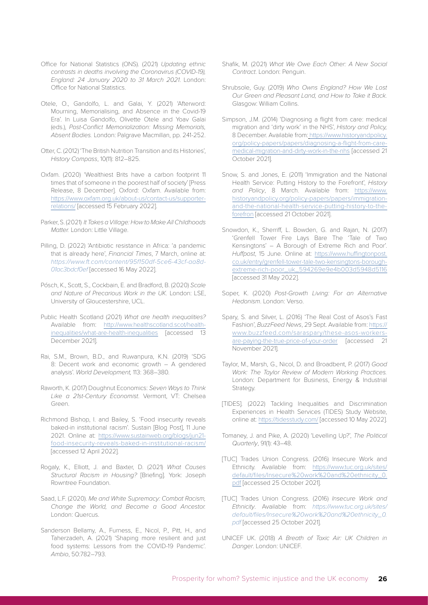- Office for National Statistics (ONS). (2021) *Updating ethnic contrasts in deaths involving the Coronavirus (COVID-19), England: 24 January 2020 to 31 March 2021*. London: Office for National Statistics.
- Otele, O., Gandolfo, L. and Galai, Y. (2021) 'Afterword: Mourning, Memorialising, and Absence in the Covid-19 Era'. In Luisa Gandolfo, Olivette Otele and Yoav Galai (eds.), *Post-Conflict Memorialization: Missing Memorials, Absent Bodies.* London: Palgrave Macmillan, pp. 241-252.
- Otter, C. (2012) 'The British Nutrition Transition and its Histories', *History Compass*, 10(11): 812–825.
- Oxfam. (2020) 'Wealthiest Brits have a carbon footprint 11 times that of someone in the poorest half of society' [Press Release, 8 December]. Oxford: Oxfam. Available from: [https://www.oxfam.org.uk/about-us/contact-us/supporter](https://www.oxfam.org.uk/about-us/contact-us/supporter-relations/)[relations/](https://www.oxfam.org.uk/about-us/contact-us/supporter-relations/) [accessed 15 February 2022].
- Parker, S. (2021) *It Takes a Village: How to Make All Childhoods Matter.* London: Little Village.
- Pilling, D. (2022) 'Antibiotic resistance in Africa: 'a pandemic that is already here', *Financial Times*, 7 March, online at: *[https://www.ft.com/content/95f150df-5ce6-43cf-aa8d-](https://www.ft.com/content/95f150df-5ce6-43cf-aa8d-01ac3bdcf0ef)[01ac3bdcf0ef](https://www.ft.com/content/95f150df-5ce6-43cf-aa8d-01ac3bdcf0ef)* [accessed 16 May 2022].
- Pósch, K., Scott, S., Cockbain, E. and Bradford, B. (2020) *Scale and Nature of Precarious Work in the UK.* London: LSE, University of Gloucestershire, UCL.
- Public Health Scotland (2021) *What are health inequalities?*  Available from: [http://www.healthscotland.scot/health](http://www.healthscotland.scot/health-inequalities/what-are-health-inequalities)[inequalities/what-are-health-inequalities](http://www.healthscotland.scot/health-inequalities/what-are-health-inequalities) [accessed 13 December 2021].
- Rai, S.M., Brown, B.D., and Ruwanpura, K.N. (2019) 'SDG 8: Decent work and economic growth – A gendered analysis'. *World Development,* 113: 368–380.
- Raworth, K. (2017) Doughnut Economics: *Seven Ways to Think Like a 21st-Century Economist*. Vermont, VT: Chelsea Green.
- Richmond Bishop, I. and Bailey, S. 'Food insecurity reveals baked-in institutional racism'. Sustain [Blog Post], 11 June 2021. Online at: [https://www.sustainweb.org/blogs/jun21](https://www.sustainweb.org/blogs/jun21-food-insecurity-reveals-baked-in-institutional-racism/ ) [food-insecurity-reveals-baked-in-institutional-racism/](https://www.sustainweb.org/blogs/jun21-food-insecurity-reveals-baked-in-institutional-racism/ ) [accessed 12 April 2022].
- Rogaly, K., Elliott, J. and Baxter, D. (2021) *What Causes Structural Racism in Housing?* [Briefing]. York: Joseph Rowntree Foundation.
- Saad, L.F. (2020). *Me and White Supremacy: Combat Racism, Change the World, and Become a Good Ancestor.*  London: Quercus.
- Sanderson Bellamy, A., Furness, E., Nicol, P., Pitt, H., and Taherzadeh, A. (2021) 'Shaping more resilient and just food systems: Lessons from the COVID-19 Pandemic'. *Ambio*, 50:782–793.
- Shafik, M. (2021) *What We Owe Each Other: A New Social Contract*. London: Penguin.
- Shrubsole, Guy. (2019) *Who Owns England? How We Lost Our Green and Pleasant Land, and How to Take it Back.*  Glasgow: William Collins.
- Simpson, J.M. (2014) 'Diagnosing a flight from care: medical migration and 'dirty work' in the NHS', *History and Policy,* 8 December. Available from: [https://www.historyandpolicy.](https://www.historyandpolicy.org/policy-papers/papers/diagnosing-a-flight-from-care-medical-migratio) [org/policy-papers/papers/diagnosing-a-flight-from-care](https://www.historyandpolicy.org/policy-papers/papers/diagnosing-a-flight-from-care-medical-migratio)[medical-migration-and-dirty-work-in-the-nhs](https://www.historyandpolicy.org/policy-papers/papers/diagnosing-a-flight-from-care-medical-migratio) [accessed 21 October 2021].
- Snow, S. and Jones, E. (2011) 'Immigration and the National Health Service: Putting History to the Forefront', *History and Policy*, 8 March. Available from: [https://www.](https://www.historyandpolicy.org/policy-papers/papers/immigration-and-the-national-health-service-pu) [historyandpolicy.org/policy-papers/papers/immigration](https://www.historyandpolicy.org/policy-papers/papers/immigration-and-the-national-health-service-pu)[and-the-national-health-service-putting-history-to-the](https://www.historyandpolicy.org/policy-papers/papers/immigration-and-the-national-health-service-pu)[forefron](https://www.historyandpolicy.org/policy-papers/papers/immigration-and-the-national-health-service-pu) [accessed 21 October 2021].
- Snowdon, K., Sherriff, L. Bowden, G. and Rajan, N. (2017) 'Grenfell Tower Fire Lays Bare The 'Tale of Two Kensingtons' – A Borough of Extreme Rich and Poor'. *Huffpost*, 15 June. Online at: [https://www.huffingtonpost.](https://www.huffingtonpost.co.uk/entry/grenfell-tower-tale-two-kensingtons-borough-extreme-rich-poor) [co.uk/entry/grenfell-tower-tale-two-kensingtons-borough](https://www.huffingtonpost.co.uk/entry/grenfell-tower-tale-two-kensingtons-borough-extreme-rich-poor)[extreme-rich-poor\\_uk\\_594269e9e4b003d5948d5116](https://www.huffingtonpost.co.uk/entry/grenfell-tower-tale-two-kensingtons-borough-extreme-rich-poor) [accessed 31 May 2022].
- Soper, K. (2020) *Post-Growth Living: For an Alternative Hedonism*. London: Verso.
- Spary, S. and Silver, L. (2016) 'The Real Cost of Asos's Fast Fashion', *BuzzFeed News*, 29 Sept. Available from: [https://](https://www.buzzfeed.com/saraspary/these-asos-workers-are-paying-the-true-price-of-your-order) [www.buzzfeed.com/saraspary/these-asos-workers](https://www.buzzfeed.com/saraspary/these-asos-workers-are-paying-the-true-price-of-your-order)[are-paying-the-true-price-of-your-order](https://www.buzzfeed.com/saraspary/these-asos-workers-are-paying-the-true-price-of-your-order) [accessed 21 November 2021].
- Taylor, M., Marsh, G., Nicol, D. and Broadbent, P. (2017) *Good Work: The Taylor Review of Modern Working Practices.* London: Department for Business, Energy & Industrial Strategy.
- [TIDES]. (2022) Tackling Inequalities and Discrimination Experiences in Health Services (TIDES) Study Website, online at: <https://tidesstudy.com/>[accessed 10 May 2022].
- Tomaney, J. and Pike, A. (2020) 'Levelling Up?', *The Political Quarterly*, 91(1): 43–48.
- [TUC] Trades Union Congress. (2016) Insecure Work and Ethnicity. Available from: [https://www.tuc.org.uk/sites/](https://www.tuc.org.uk/sites/default/files/Insecure%20work%20and%20ethnicity_0.pdf) [default/files/Insecure%20work%20and%20ethnicity\\_0.](https://www.tuc.org.uk/sites/default/files/Insecure%20work%20and%20ethnicity_0.pdf) [pdf](https://www.tuc.org.uk/sites/default/files/Insecure%20work%20and%20ethnicity_0.pdf) [accessed 25 October 2021].
- [TUC] Trades Union Congress. (2016) *Insecure Work and Ethnicity*. Available from: *[https://www.tuc.org.uk/sites/](https://www.tuc.org.uk/sites/default/files/Insecure%20work%20and%20ethnicity_0.pdf) [default/files/Insecure%20work%20and%20ethnicity\\_0.](https://www.tuc.org.uk/sites/default/files/Insecure%20work%20and%20ethnicity_0.pdf) [pdf](https://www.tuc.org.uk/sites/default/files/Insecure%20work%20and%20ethnicity_0.pdf)* [accessed 25 October 2021].
- UNICEF UK. (2018) *A Breath of Toxic Air: UK Children in Danger*. London: UNICEF.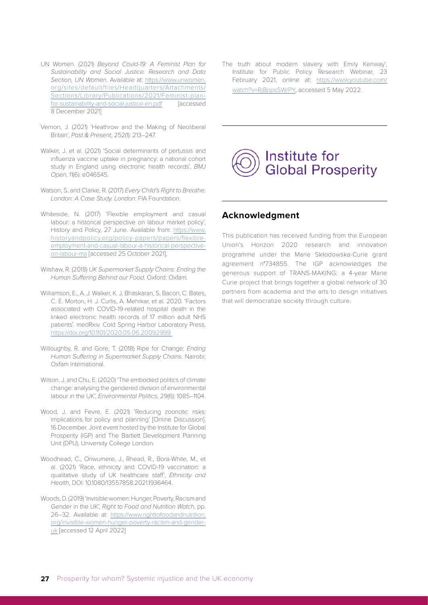- UN Women. (2021) *Beyond Covid-19: A Feminist Plan for Sustainability and Social Justice. Research and Data Section, UN Women*. Available at: [https://www.unwomen.](https://www.unwomen.org/sites/default/files/Headquarters/Attachments/Sections/Library/Publications/2) [org/sites/default/files/Headquarters/Attachments/](https://www.unwomen.org/sites/default/files/Headquarters/Attachments/Sections/Library/Publications/2) [Sections/Library/Publications/2021/Feminist-plan](https://www.unwomen.org/sites/default/files/Headquarters/Attachments/Sections/Library/Publications/2)[for-sustainability-and-social-justice-en.pdf](https://www.unwomen.org/sites/default/files/Headquarters/Attachments/Sections/Library/Publications/2) [accessed 8 December 2021]
- Vernon, J. (2021) 'Heathrow and the Making of Neoliberal Britain', *Past & Present*, 252(1): 213–247.
- Walker, J. et al. (2021) 'Social determinants of pertussis and influenza vaccine uptake in pregnancy: a national cohort study in England using electronic health records', *BMJ Open*, 11(6): e046545.
- Watson, S. and Clarke, R. (2017) *Every Child's Right to Breathe. London: A Case Study. London*: FIA Foundation.
- Whiteside, N. (2017) 'Flexible employment and casual labour: a historical perspective on labour market policy', History and Policy, 27 June. Available from: [https://www.](https://www.historyandpolicy.org/policy-papers/papers/flexible-employment-and-casual-labour-a-histor) [historyandpolicy.org/policy-papers/papers/flexible](https://www.historyandpolicy.org/policy-papers/papers/flexible-employment-and-casual-labour-a-histor)[employment-and-casual-labour-a-historical-perspective](https://www.historyandpolicy.org/policy-papers/papers/flexible-employment-and-casual-labour-a-histor)[on-labour-ma](https://www.historyandpolicy.org/policy-papers/papers/flexible-employment-and-casual-labour-a-histor) [accessed 25 October 2021].
- Wilshaw, R. (2018) *UK Supermarket Supply Chains: Ending the Human Suffering Behind our Food*. Oxford: Oxfam.
- Williamson, E., A. J. Walker, K. J. Bhaskaran, S. Bacon, C. Bates, C. E. Morton, H. J. Curtis, A. Mehrkar, et al. 2020. 'Factors associated with COVID-19-related hospital death in the linked electronic health records of 17 million adult NHS patients'. medRxiv. Cold Spring Harbor Laboratory Press. [https://doi.org/10.1101/2020.05.06.20092999](https://doi.org/10.1101/2020.05.06.20092999 )
- Willoughby, R. and Gore, T. (2018) Ripe for Change: *Ending Human Suffering in Supermarket Supply Chains*. Nairobi: Oxfam International.
- Wilson, J. and Chu, E. (2020) 'The embodied politics of climate change: analysing the gendered division of environmental labour in the UK', *Environmental Politics*, 29(6): 1085–1104.
- Wood, J. and Fevre, E. (2021) 'Reducing zoonotic risks: implications for policy and planning' [Online Discussion]. 16 December. Joint event hosted by the Institute for Global Prosperity (IGP) and The Bartlett Development Planning Unit (DPU), University College London.
- Woodhead, C., Onwumere, J., Rhead, R., Bora-White, M., et al. (2021) 'Race, ethnicity and COVID-19 vaccination: a qualitative study of UK healthcare staff', *Ethnicity and Health*, DOI: 10.1080/13557858.2021.1936464.
- Woods, D. (2019) 'Invisible women: Hunger, Poverty, Racism and Gender in the UK', *Right to Food and Nutrition Watch*, pp. 26–32. Available at: [https://www.righttofoodandnutrition.](https://www.righttofoodandnutrition.org/invisible-women-hunger-poverty-racism-and-gender-uk) [org/invisible-women-hunger-poverty-racism-and-gender](https://www.righttofoodandnutrition.org/invisible-women-hunger-poverty-racism-and-gender-uk)[uk](https://www.righttofoodandnutrition.org/invisible-women-hunger-poverty-racism-and-gender-uk) [accessed 12 April 2022]

The truth about modern slavery with Emily Kenway', Institute for Public Policy Research Webinar, 23 February 2021, online at: [https://www.youtube.com/](https://www.youtube.com/watch?v=RjBppsSWrPY) [watch?v=RjBppsSWrPY,](https://www.youtube.com/watch?v=RjBppsSWrPY) accessed 5 May 2022.



#### **Acknowledgment**

This publication has received funding from the European Union's Horizon 2020 research and innovation programme under the Marie Skłodowska-Curie grant agreement n°734855. The IGP acknowledges the generous support of TRANS-MAKING: a 4-year Marie Curie project that brings together a global network of 30 partners from academia and the arts to design initiatives that will democratize society through culture.